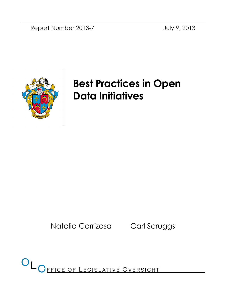Report Number 2013-7 July 9, 2013



# Best Practices in Open Data Initiatives

Natalia Carrizosa Carl Scruggs

OL OFFICE OF LEGISLATIVE OVERSIGHT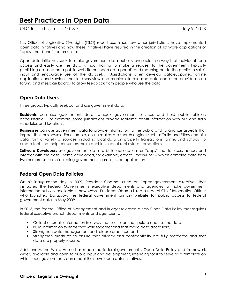# Best Practices in Open Data

OLO Report Number 2013-7 July 9, 2013

This Office of Legislative Oversight (OLO) report examines how other jurisdictions have implemented open data initiatives and how these initiatives have resulted in the creation of software applications or "apps" that benefit communities.

Open data initiatives seek to make government data publicly available in a way that individuals can access and easily use the data without having to make a request to the government, typically publishing datasets on a public website or "open data portal" and reaching out to the public to solicit input and encourage use of the datasets. Jurisdictions often develop data-supported online applications and services that let users view and manipulate released data and often provide online forums and message boards to allow feedback from people who use the data.

## Open Data Users

Three groups typically seek out and use government data:

**Residents** can use government data to seek government services and hold public officials accountable. For example, some jurisdictions provide real-time transit information with bus and train schedules and locations.

**Businesses** can use government data to provide information to the public and to analyze aspects that impact their businesses. For example, online real estate search engines such as Trulia and Zillow compile data from a variety of sources, including local data on property transactions, crime, and schools, to create tools that help consumers make decisions about real estate transactions.

**Software Developers** use government data to build applications or "apps" that let users access and interact with the data. Some developers, for example, create "mash-ups" – which combine data from two or more sources (including government sources) in an application.

## Federal Open Data Policies

On his inauguration day in 2009, President Obama issued an "open government directive" that instructed the Federal Government's executive departments and agencies to make government information publicly available in new ways. President Obama hired a federal Chief Information Officer who launched Data.gov, the federal government primary website for public access to federal government data, in May 2009.

In 2013, the federal Office of Management and Budget released a new Open Data Policy that requires federal executive branch departments and agencies to:

- Collect or create information in a way that users can manipulate and use the data;
- Build information systems that work together and that make data accessible;
- Strengthen data management and release practices; and
- Strengthen measures to ensure that privacy and confidentiality are fully protected and that data are properly secured.

Additionally, the White House has made the federal government's Open Data Policy and framework widely available and open to public input and development, intending for it to serve as a template on which local governments can model their own open data initiatives.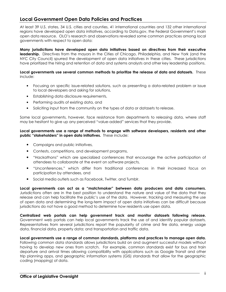## Local Government Open Data Policies and Practices

At least 39 U.S. states, 34 U.S. cities and counties, 41 international countries and 132 other international regions have developed open data initiatives, according to Data.gov, the Federal Government's main open data resource. OLO's research and observations revealed some common practices among local governments with respect to open data:

Many jurisdictions have developed open data initiatives based on directives from their executive leadership. Directives from the mayors in the Cities of Chicago, Philadelphia, and New York (and the NYC City Council) spurred the development of open data initiatives in these cities. These jurisdictions have prioritized the hiring and retention of data and systems analysts and other key leadership positions.

#### Local governments use several common methods to prioritize the release of data and datasets. These include:

- Focusing on specific issue-related solutions, such as presenting a data-related problem or issue to local developers and asking for solutions,
- Establishing data disclosure requirements,
- Performing audits of existing data, and
- Soliciting input from the community on the types of data or datasets to release.

Some local governments, however, face resistance from departments to releasing data, where staff may be hesitant to give up any perceived "value-added" services that they provide.

#### Local governments use a range of methods to engage with software developers, residents and other public "stakeholders" in open data initiatives. These include:

- Campaigns and public initiatives,
- Contests, competitions, and development programs,
- "Hackathons" which are specialized conferences that encourage the active participation of attendees to collaborate at the event on software projects,
- "Unconferences," which differ from traditional conferences in their increased focus on participation by attendees, and
- Social media outlets such as Facebook, Twitter, and Tumblr.

Local governments can act as a "matchmaker" between data producers and data consumers. Jurisdictions often are in the best position to understand the nature and value of the data that they release and can help facilitate the public's use of the data. However, tracking and measuring the use of open data and determining the long-term impact of open data initiatives can be difficult because jurisdictions do not have a good method to determine how residents use open data.

Centralized web portals can help government track and monitor datasets following release. Government web portals can help local governments track the use of and identify popular datasets. Representatives from several jurisdictions report the popularity of crime and fire data, energy usage data, financial data, property data; and transportation and traffic data.

Local governments use a range of common standards, platforms and practices to manage open data. Following common data standards allows jurisdictions build on and augment successful models without having to develop new ones from scratch. For example, common standards exist for bus and train departure and arrival times allowing compatibility with applications such as Google Transit and other trip planning apps, and geographic information systems (GIS) standards that allow for the geographic coding (mapping) of data.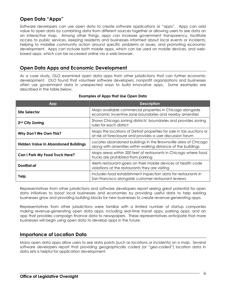## Open Data "Apps"

Software developers can use open data to create software applications or "apps". Apps can add value to open data by combining data from different sources together or allowing users to see data on an interactive map. Among other things, apps can increase government transparency, facilitate access to public services, keeping residents and businesses informed about local events or incidents, helping to mobilize community action around specific problems or issues, and promoting economic development. Apps can include both mobile apps, which can be used on mobile devices, and webbased apps, which can be accessed online via a web browser.

## Open Data Apps and Economic Development

As a case study, OLO examined open data apps from other jurisdictions that can further economic development. OLO found that volunteer software developers, nonprofit organizations and businesses often use government data in unexpected ways to build innovative apps. Some examples are described in the table below.

| App                                        | <b>Description</b>                                                                                                                  |
|--------------------------------------------|-------------------------------------------------------------------------------------------------------------------------------------|
| Site Selector                              | Maps available commercial properties in Chicago alongside<br>economic incentive zone boundaries and nearby amenities                |
| 2 <sup>nd</sup> City Zoning                | Shows Chicago zoning districts' boundaries and provides zoning<br>rules for each district                                           |
| Why Don't We Own This?                     | Maps the locations of Detroit properties for sale in tax auctions or<br>at risk of foreclosure and provides a user discussion forum |
| <b>Hidden Value in Abandoned Buildings</b> | Locates abandoned buildings in the Brownsville area of Chicago<br>along with amenities within walking distance of the buildings     |
| <b>Can I Park My Food Truck Here?</b>      | Maps areas within 200 feet of restaurants in Chicago where food<br>trucks are prohibited from parking                               |
| DontEat.at                                 | Alerts restaurant-goers on their mobile devices of health code<br>violations at the restaurants they are visiting                   |
| Yelp                                       | Includes food establishment inspection data for restaurants in<br>San Francisco alongside customer restaurant reviews               |

#### Examples of Apps that Use Open Data

Representatives from other jurisdictions and software developers report seeing great potential for open data initiatives to boost local businesses and economies by providing useful data to help existing businesses grow and providing building blocks for new businesses to create revenue-generating apps.

Representatives from other jurisdictions were familiar with a limited number of startup companies making revenue-generating open data apps, including real-time transit apps, parking apps, and an app that provides campaign finance data to newspapers. These representatives anticipate that more businesses will begin using open data to develop apps in the future.

## Importance of Location Data

Many open data apps allow users to see data points (such as locations or incidents) on a map. Several software developers report that providing geographically coded (or "geo-coded") location data in data sets is helpful for application development.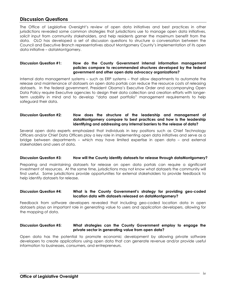## Discussion Questions

The Office of Legislative Oversight's review of open data initiatives and best practices in other jurisdictions revealed some common strategies that jurisdictions use to manage open data initiatives, solicit input from community stakeholders, and help residents garner the maximum benefit from the data. OLO has developed a set of discussion questions to structure a conversation between the Council and Executive Branch representatives about Montgomery County's implementation of its open data initiative – dataMontgomery.

#### Discussion Question #1: How do the County Government internal information management policies compare to recommended structures developed by the federal government and other open data advocacy organizations?

Internal data management systems – such as ERP systems – that allow departments to automate the release and maintenance of datasets on open data portals can reduce the resource costs of releasing datasets. In the federal government, President Obama's Executive Order and accompanying Open Data Policy require Executive agencies to design their data collection and creation efforts with longerterm usability in mind and to develop "data asset portfolio" management requirements to help safeguard their data.

#### Discussion Question #2: How does the structure of the leadership and management of dataMontgomery compare to best practices and how is the leadership identifying and addressing any internal barriers to the release of data?

Several open data experts emphasized that individuals in key positions such as Chief Technology Officers and/or Chief Data Officers play a key role in implementing open data initiatives and serve as a bridge between departments – which may have limited expertise in open data – and external stakeholders and users of data.

#### Discussion Question #3: How will the County identify datasets for release through dataMontgomery?

Preparing and maintaining datasets for release on open data portals can require a significant investment of resources. At the same time, jurisdictions may not know what datasets the community will find useful. Some jurisdictions provide opportunities for external stakeholders to provide feedback to help identify datasets for release.

#### Discussion Question #4: What is the County Government's strategy for providing geo-coded location data with datasets released on dataMontgomery?

Feedback from software developers revealed that including geo-coded location data in open datasets plays an important role in generating value to users and application developers, allowing for the mapping of data.

#### Discussion Question #5: What strategies can the County Government employ to engage the private sector in generating value from open data?

Open data has the potential to promote economic development by allowing private software developers to create applications using open data that can generate revenue and/or provide useful information to businesses, consumers, and entrepreneurs.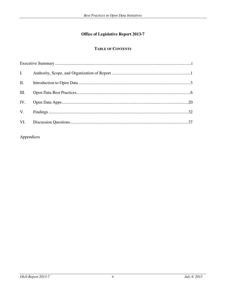## **Office of Legislative Report 2013-7**

## **TABLE OF CONTENTS**

| $\mathbf{I}$ . |  |
|----------------|--|
| II.            |  |
| III.           |  |
|                |  |
|                |  |
|                |  |

Appendices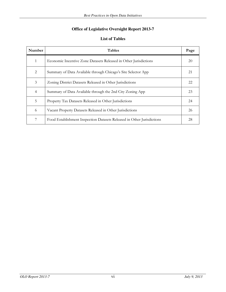## **Office of Legislative Oversight Report 2013-7**

## **List of Tables**

| Number         | Tables                                                                 | Page |
|----------------|------------------------------------------------------------------------|------|
| 1              | Economic Incentive Zone Datasets Released in Other Jurisdictions       | 20   |
| 2              | Summary of Data Available through Chicago's Site Selector App          | 21   |
| 3              | Zoning District Datasets Released in Other Jurisdictions               | 22   |
| $\overline{4}$ | Summary of Data Available through the 2nd City Zoning App              | 23   |
| 5              | Property Tax Datasets Released in Other Jurisdictions                  | 24   |
| 6              | Vacant Property Datasets Released in Other Jurisdictions               | 26   |
| 7              | Food Establishment Inspection Datasets Released in Other Jurisdictions | 28   |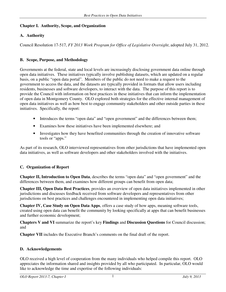## **Chapter I. Authority, Scope, and Organization**

## **A. Authority**

Council Resolution 17-517, *FY 2013 Work Program for Office of Legislative Oversight*, adopted July 31, 2012.

## **B. Scope, Purpose, and Methodology**

Governments at the federal, state and local levels are increasingly disclosing government data online through open data initiatives. These initiatives typically involve publishing datasets, which are updated on a regular basis, on a public "open data portal". Members of the public do not need to make a request to the government to access the data, and the datasets are typically provided in formats that allow users including residents, businesses and software developers, to interact with the data. The purpose of this report is to provide the Council with information on best practices in these initiatives that can inform the implementation of open data in Montgomery County. OLO explored both strategies for the effective internal management of open data initiatives as well as how best to engage community stakeholders and other outside parties in these initiatives. Specifically, the report:

- Introduces the terms "open data" and "open government" and the differences between them;
- Examines how these initiatives have been implemented elsewhere; and
- Investigates how they have benefited communities through the creation of innovative software tools or "apps."

As part of its research, OLO interviewed representatives from other jurisdictions that have implemented open data initiatives, as well as software developers and other stakeholders involved with the initiatives.

## **C. Organization of Report**

**Chapter II, Introduction to Open Data**, describes the terms "open data" and "open government" and the differences between them, and examines how different groups can benefit from open data;

**Chapter III, Open Data Best Practices**, provides an overview of open data initiatives implemented in other jurisdictions and discusses feedback received from software developers and representatives from other jurisdictions on best practices and challenges encountered in implementing open data initiatives;

**Chapter IV, Case Study on Open Data Apps**, offers a case study of how apps, meaning software tools, created using open data can benefit the community by looking specifically at apps that can benefit businesses and further economic development;

**Chapters V and VI** summarize the report's key **Findings** and **Discussion Questions** for Council discussion; and

**Chapter VII** includes the Executive Branch's comments on the final draft of the report.

## **D. Acknowledgements**

OLO received a high level of cooperation from the many individuals who helped compile this report. OLO appreciates the information shared and insights provided by all who participated. In particular, OLO would like to acknowledge the time and expertise of the following individuals: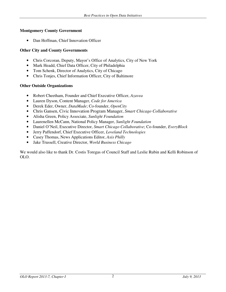#### **Montgomery County Government**

• Dan Hoffman, Chief Innovation Officer

#### **Other City and County Governments**

- Chris Corcoran, Deputy, Mayor's Office of Analytics, City of New York
- Mark Headd, Chief Data Officer, City of Philadelphia
- Tom Schenk, Director of Analytics, City of Chicago
- Chris Tonjes, Chief Information Officer, City of Baltimore

#### **Other Outside Organizations**

- Robert Cheetham, Founder and Chief Executive Officer, *Azavea*
- Lauren Dyson, Content Manager, *Code for America*
- Derek Eder, Owner, *DataMade*; Co-founder, *OpenCity*
- Chris Gansen, Civic Innovation Program Manager, *Smart Chicago Collaborative*
- Alisha Green, Policy Associate, *Sunlight Foundation*
- Laurenellen McCann, National Policy Manager, *Sunlight Foundation*
- Daniel O'Neil, Executive Director, *Smart Chicago Collaborative*; Co-founder, *EveryBlock*
- Jerry Paffendorf, Chief Executive Officer, *Loveland Technologies*
- Casey Thomas, News Applications Editor, *Axis Philly*
- Jake Trussell, Creative Director, *World Business Chicago*

We would also like to thank Dr. Costis Toregas of Council Staff and Leslie Rubin and Kelli Robinson of OLO.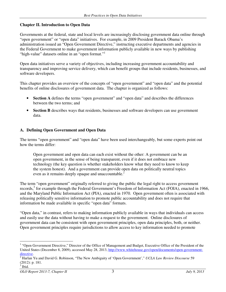### **Chapter II. Introduction to Open Data**

Governments at the federal, state and local levels are increasingly disclosing government data online through "open government" or "open data" initiatives. For example, in 2009 President Barack Obama's administration issued an "Open Government Directive," instructing executive departments and agencies in the Federal Government to make government information publicly available in new ways by publishing "high-value" datasets online in an "open format."<sup>1</sup>

Open data initiatives serve a variety of objectives, including increasing government accountability and transparency and improving service delivery, which can benefit groups that include residents, businesses, and software developers.

This chapter provides an overview of the concepts of "open government" and "open data" and the potential benefits of online disclosures of government data. The chapter is organized as follows:

- **Section A** defines the terms "open government" and "open data" and describes the differences between the two terms; and
- **Section B** describes ways that residents, businesses and software developers can use government data.

#### **A. Defining Open Government and Open Data**

The terms "open government" and "open data" have been used interchangeably, but some experts point out how the terms differ:

Open government and open data can each exist without the other: A government can be an open government, in the sense of being transparent, even if it does not embrace new technology (the key question is whether stakeholders know what they need to know to keep the system honest). And a government can provide open data on politically neutral topics even as it remains deeply opaque and unaccountable.<sup>2</sup>

The term "open government" originally referred to giving the public the legal right to access government records,<sup>3</sup> for example through the Federal Government's Freedom of Information Act (FOIA), enacted in 1966, and the Maryland Public Information Act (PIA), enacted in 1970. Open government often is associated with releasing politically sensitive information to promote public accountability and does not require that information be made available in specific "open data" formats.

"Open data," in contrast, refers to making information publicly available in ways that individuals can access and easily use the data without having to make a request to the government. Online disclosures of government data can be consistent with open government principles, open data principles, both, or neither. Open government principles require jurisdictions to allow access to key information needed to promote

-

<sup>&</sup>lt;sup>1</sup> "Open Government Directive," Director of the Office of Management and Budget, Executive Office of the President of the United States (December 8, 2009), accessed May 28, 2013, http://www.whitehouse.gov/open/documents/open-governmentdirective.

<sup>2</sup> Harlan Yu and David G. Robinson, "The New Ambiguity of 'Open Government'," *UCLA Law Review Discourse* 59 (2012): p. 181. 3 Ibid.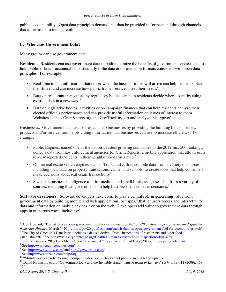public accountability. Open data principles demand that data be provided in formats and through channels that allow users to interact with the data.

#### **B. Who Uses Government Data?**

Many groups can use government data.

**Residents.** Residents can use government data to both maximize the benefits of government services and to hold public officials accountable, particularly if the data are provided in formats consistent with open data principles. For example:

- Real-time transit information that report when the buses or trains will arrive can help residents plan their travel and can increase how public transit services meet their needs.<sup>4</sup>
- Data on restaurant inspections by regulatory bodies can help residents decide where to eat by using existing data in a new way.<sup>5</sup>
- Data on legislative bodies' activities or on campaign finances that can help residents analyze their elected officials performance and can provide useful information on issues of interest to them. Websites such as OpenSecrets.org and GovTrack.us sort and analyze this type of data.<sup>6</sup>

**Businesses.** Government data disclosures can help businesses by providing the building blocks for new products and/or services and by providing information that businesses can use to increase efficiency. For example:

- Public Engines, named one of the nation's fastest growing companies in the 2012 Inc. 500 rankings, collects data from law enforcement agencies for CrimeReports, a mobile application that allows users to view reported incidents in their neighborhoods on a map.<sup>7</sup>
- Online real estate search engines such as Trulia and Zillow compile data from a variety of sources, including local data on property transactions, crime, and schools, to create tools that help consumers make decisions about real estate transactions.<sup>8</sup>
- SizeUp, a business intelligence tool for medium and small businesses, uses data from a variety of sources, including local governments, to help businesses make better decisions.<sup>9</sup>

**Software developers.** Software developers have come to play a central role in generating value from government data by building mobile and web applications, or "apps," that let users access and interact with data and information on mobile devices<sup>10</sup> or on the web. Developers add value to government data through apps in numerous ways, including: $11$ 

-

<sup>4</sup> Alex Howard, "Transit data as open government fuel for economic growth," *gov20.govfresh: open government dispatches from Alex Howard*, March 5, 2011, <u>http://gov20.govfresh.com/transit-data-as-open-government-fuel-for-economic-growth/</u>.<br><sup>5</sup> The City of Chicago's Data Portal includes a dateset derived from "inspections of restaurants an The City of Chicago's Data Portal includes a dataset derived from "inspections of restaurants and other food

establishments," see https://data.cityofchicago.org/Health-Human-Services/Food-Inspections/4ijn-s7e5.

<sup>6</sup> Joshua Tauberer, "Big Data Meets Open Government," Open Government Data (2012), http://opengovdata.io/.

<sup>7</sup> See http://www.publicengines.com/.

<sup>&</sup>lt;sup>8</sup> See http://www.zillow.com/ and http://www.trulia.com/.

<sup>&</sup>lt;sup>9</sup> See http://www.sizeup.com/help/faq.

<sup>&</sup>lt;sup>10</sup> "Mobile devices" refer to small computing devices, such as smart phones and tablet computers.

<sup>&</sup>lt;sup>11</sup> David Robinson, et al., "Government Data and the Invisible Hand," *Yale Journal of Law and Technology*, 11 (2009): 168-170.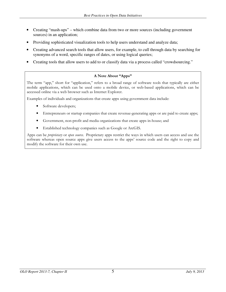- Creating "mash-ups" which combine data from two or more sources (including government sources) in an application;
- Providing sophisticated visualization tools to help users understand and analyze data;
- Creating advanced search tools that allow users, for example, to cull through data by searching for synonyms of a word, specific ranges of dates, or using logical queries;
- Creating tools that allow users to add to or classify data via a process called "crowdsourcing."

#### A Note About "Apps"

The term "app," short for "application," refers to a broad range of software tools that typically are either mobile applications, which can be used onto a mobile device, or web-based applications, which can be accessed online via a web browser such as Internet Explorer.

Examples of individuals and organizations that create apps using government data include:

- Software developers;
- Entrepreneurs or startup companies that create revenue-generating apps or are paid to create apps;
- Government, non-profit and media organizations that create apps in-house; and
- Established technology companies such as Google or ArcGIS.

Apps can be *proprietary* or *open source*. Proprietary apps restrict the ways in which users can access and use the software whereas open source apps give users access to the apps' source code and the right to copy and modify the software for their own use.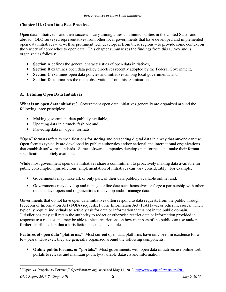### **Chapter III. Open Data Best Practices**

Open data initiatives – and their success – vary among cities and municipalities in the United States and abroad. OLO surveyed representatives from other local governments that have developed and implemented open data initiatives – as well as prominent tech developers from these regions – to provide some context on the variety of approaches to open data. This chapter summarizes the findings from this survey and is organized as follows:

- **Section A** defines the general characteristics of open data initiatives,
- **Section B** examines open data policy directives recently adopted by the Federal Government,
- **Section C** examines open data policies and initiatives among local governments; and
- **Section D** summarizes the main observations from this examination.

#### **A. Defining Open Data Initiatives**

**What is an open data initiative?** Government open data initiatives generally are organized around the following three principles:

- Making government data publicly available,
- Updating data in a timely fashion; and
- Providing data in "open" formats.

"Open" formats refers to specifications for storing and presenting digital data in a way that anyone can use. Open formats typically are developed by public authorities and/or national and international organizations that establish software standards. Some software companies develop open formats and make their format specifications publicly available.<sup>1</sup>

While most government open data initiatives share a commitment to proactively making data available for public consumption, jurisdictions' implementation of initiatives can vary considerably. For example:

- Governments may make all, or only part, of their data publicly available online; and,
- Governments may develop and manage online data sets themselves or forge a partnership with other outside developers and organizations to develop and/or manage data.

Governments that do not have open data initiatives often respond to data requests from the public through Freedom of Information Act (FOIA) requests, Public Information Act (PIA) laws, or other measures, which typically require individuals to actively ask for data or information that is not in the public domain. Jurisdictions may still retain the authority to redact or otherwise restrict data or information provided in response to a request and may be able to place restrictions on how members of the public can use and/or further distribute data that a jurisdiction has made available.

**Features of open data "platforms."** Most current open data platforms have only been in existence for a few years. However, they are generally organized around the following components:

• **Online public forums, or "portals."** Most governments with open data initiatives use online web portals to release and maintain publicly-available datasets and information.

<sup>&</sup>lt;sup>1</sup> "Open vs. Proprietary Formats," *OpenFormats.org*, accessed May 14, 2013, http://www.openformats.org/en1.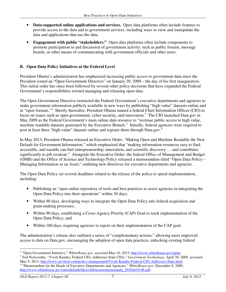- **Data-supported online applications and services.** Open data platforms often include features to provide access to the data and to government services, including ways to view and manipulate the data and applications that use the data.
- **Engagement with public "stakeholders."** Open data platforms often include components to promote participation in and discussion of government activity; such as public forums, message boards, or other means of communicating with government officials and other users.

## **B. Open Data Policy Initiatives at the Federal Level**

President Obama's administration has emphasized increasing public access to government data since the President issued an "Open Government Directive" on January 20, 2009 – the day of his first inauguration. This initial order has since been followed by several other policy decisions that have expanded the Federal Government's responsibilities toward managing and releasing open data.

The Open Government Directive instructed the Federal Government's executive departments and agencies to make government information publicly available in new ways by publishing "high-value" datasets online and in "open formats."<sup>2</sup> Shortly thereafter, President Obama named a federal Chief Information Officer (CIO) to focus on issues such as open government, cyber-security, and innovation.<sup>3</sup> The CIO launched Data.gov in May 2009 as the Federal Government's main online data resource to "increase public access to high value, machine readable datasets generated by the Executive Branch." Initially, federal agencies were required to post at least three "high-value" datasets online and register them through Data.gov.<sup>4</sup>

In May 2013, President Obama released an Executive Order, "Making Open and Machine Readable the New Default for Government Information," which emphasized that "making information resources easy to find, accessible, and useable can fuel entrepreneurship, innovation, and scientific discovery … and contributes significantly to job creation." Alongside the Executive Order, the federal Office of Management and Budget (OMB) and the Office of Science and Technology Policy released a memorandum titled "Open Data Policy – Managing Information as an Asset," outlining new directives for executive departments and agencies.

The Open Data Policy set several deadlines related to the release of the policy to speed implementation, including:

- Publishing an "open online repository of tools and best practices to assist agencies in integrating the Open Data Policy into their operations" within 30 days;
- Within 90 days, developing ways to integrate the Open Data Policy into federal acquisition and grant-making processes;
- Within 90 days, establishing a Cross-Agency Priority (CAP) Goal to track implementation of the Open Data Policy; and
- Within 180 days, requiring agencies to report on their implementation of the CAP goal.

The administration's release also outlined a series of "complementary actions," allowing users improved access to data on Data.gov, encouraging the adoption of open data practices, unlocking existing federal

 2 "Open Government Initiative," *WhiteHouse.gov*, accessed May 16, 2013, http://www.whitehouse.gov/open.

<sup>3</sup> Tod Newcombe, "Vivek Kundra, Federal CIO, Addresses State CIOs," *Government Technology*, April 30, 2009, accessed May 9, 2013, http://www.govtech.com/policy-management/Vivek-Kundra-Federal-CIO-Addresses-State.html.

<sup>4</sup> "Memorandum for the Heads of Executive Departments and Agencies," *WhiteHouse.gov*, December 8, 2009, http://www.whitehouse.gov/sites/default/files/omb/assets/memoranda\_2010/m10-06.pdf.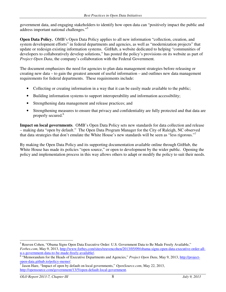government data, and engaging stakeholders to identify how open data can "positively impact the public and address important national challenges."<sup>5</sup>

**Open Data Policy.** OMB's Open Data Policy applies to all new information "collection, creation, and system development efforts" in federal departments and agencies, as well as "modernization projects" that update or redesign existing information systems. GitHub, a website dedicated to helping "communities of developers to collaboratively develop solutions," has posted the policy's provisions on its website as part of *Project Open Data*, the company's collaboration with the Federal Government.

The document emphasizes the need for agencies to plan data management strategies before releasing or creating new data – to gain the greatest amount of useful information – and outlines new data management requirements for federal departments. These requirements include:

- Collecting or creating information in a way that it can be easily made available to the public;
- Building information systems to support interoperability and information accessibility;
- Strengthening data management and release practices; and
- Strengthening measures to ensure that privacy and confidentiality are fully protected and that data are properly secured.<sup>6</sup>

**Impact on local governments**. OMB's Open Data Policy sets new standards for data collection and release – making data "open by default." The Open Data Program Manager for the City of Raleigh, NC observed that data strategies that don't emulate the White House's new standards will be seen as "less rigorous."<sup>7</sup>

By making the Open Data Policy and its supporting documentation available online through GitHub, the White House has made its policies "open source," or open to development by the wider public. Opening the policy and implementation process in this way allows others to adapt or modify the policy to suit their needs.

<sup>5</sup> Reuven Cohen, "Obama Signs Open Data Executive Order: U.S. Government Data to Be Made Freely Available," *Forbes.com*, May 9, 2013, http://www.forbes.com/sites/reuvencohen/2013/05/09/obama-signs-open-data-executive-order-allu-s-government-data-to-be-made-freely-available/.

<sup>&</sup>lt;sup>6</sup> "Memorandum for the Heads of Executive Departments and Agencies," Project Open Data, May 9, 2013, http://projectopen-data.github.io/policy-memo/.

<sup>7</sup> Jason Hare, "Impact of open by default on local governments," *OpenSource.com*, May 22, 2013, http://opensource.com/government/13/5/open-default-local-government.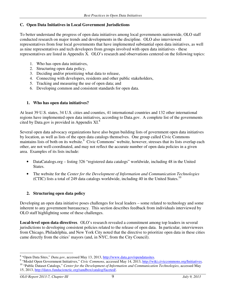#### **C. Open Data Initiatives in Local Government Jurisdictions**

To better understand the progress of open data initiatives among local governments nationwide, OLO staff conducted research on major trends and developments in the discipline. OLO also interviewed representatives from four local governments that have implemented substantial open data initiatives, as well as nine representatives and tech developers from groups involved with open data initiatives - these representatives are listed in Appendix X. OLO's research and observations centered on the following topics:

- 1. Who has open data initiatives,
- 2. Structuring open data policy,
- 3. Deciding and/or prioritizing what data to release,
- 4. Connecting with developers, residents and other public stakeholders,
- 5. Tracking and measuring the use of open data; and
- 6. Developing common and consistent standards for open data.

#### **1. Who has open data initiatives?**

At least 39 U.S. states, 34 U.S. cities and counties, 41 international countries and 132 other international regions have implemented open data initiatives, according to Data.gov. A complete list of the governments cited by Data.gov is provided in Appendix XI.<sup>8</sup>

Several open data advocacy organizations have also begun building lists of government open data initiatives by location, as well as lists of the open data catalogs themselves. One group called Civic Commons maintains lists of both on its website.<sup>9</sup> Civic Commons' website, however, stresses that its lists overlap each other, are not well-coordinated, and may not reflect the accurate number of open data policies in a given area. Examples of its lists include:

- DataCatalogs.org listing 326 "registered data catalogs" worldwide, including 48 in the United States.
- The website for the *Center for the Development of Information and Communication Technologies* (CTIC) lists a total of 249 data catalogs worldwide, including 40 in the United States.<sup>10</sup>

#### **2. Structuring open data policy**

Developing an open data initiative poses challenges for local leaders – some related to technology and some inherent to any government bureaucracy. This section describes feedback from individuals interviewed by OLO staff highlighting some of these challenges.

**Local-level open data directives**. OLO's research revealed a commitment among top leaders in several jurisdictions to developing consistent policies related to the release of open data. In particular, interviewees from Chicago, Philadelphia, and New York City noted that the directive to prioritize open data in these cities came directly from the cities' mayors (and, in NYC, from the City Council).

<sup>&</sup>lt;sup>8</sup> "Open Data Sites," *Data.gov*, accessed May 13, 2013, http://www.data.gov/opendatasites.

<sup>&</sup>lt;sup>9</sup> "Model Open Government Initiatives," *Civic Commons*, accessed May 14, 2013, http://wiki.civiccommons.org/Initiatives. <sup>10</sup> "Public Dataset Catalogs," *Center for the Development of Information and Communication Technologies*, accessed May 15, 2013, http://datos.fundacionctic.org/sandbox/catalog/faceted/.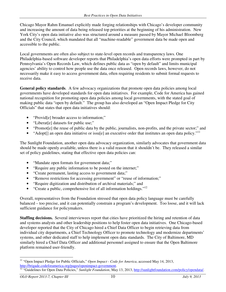Chicago Mayor Rahm Emanuel explicitly made forging relationships with Chicago's developer community and increasing the amount of data being released top priorities at the beginning of his administration. New York City's open data initiative also was structured around a measure passed by Mayor Michael Bloomberg and the City Council, which mandated that all "machine-readable" government data be made open and accessible to the public.

Local governments are often also subject to state-level open records and transparency laws. One Philadelphia-based software developer reports that Philadelphia's open data efforts were prompted in part by Pennsylvania's Open Records Law, which defines public data as "open by default" and limits municipal agencies' ability to control how people use the data once released. Open records laws, however, do not necessarily make it easy to access government data, often requiring residents to submit formal requests to receive data.

**General policy standards**. A few advocacy organizations that promote open data policies among local governments have developed standards for open data initiatives. For example, Code for America has gained national recognition for promoting open data policies among local governments, with the stated goal of making public data "open by default." The group has also developed an "Open Impact Pledge for City Officials" that states that open data initiatives should:

- "Provid<sup>[e]</sup> broader access to information;"
- "Liberat[e] datasets for public use;"
- "Promot[e] the reuse of public data by the public, journalists, non-profits, and the private sector;" and
- "Adopt[] an open data initiative or issu[e] an executive order that institutes an open data policy."<sup>11</sup>

The Sunlight Foundation, another open data advocacy organization, similarly advocates that government data should be made openly available, unless there is a valid reason that it shouldn't be. They released a similar set of policy guidelines, stating that effective open data policies can:

- "Mandate open formats for government data;"
- "Require any public information to be posted on the internet;"
- "Create permanent, lasting access to government data;"
- "Remove restrictions for accessing government" or "reuse of information;"
- "Require digitization and distribution of archival materials;" and
- "Create a public, comprehensive list of all information holdings." $12$

Overall, representatives from the Foundation stressed that open data policy language must be carefully balanced – too precise, and it can potentially constrain a program's development. Too loose, and it will lack sufficient guidance for policymakers.

**Staffing decisions.** Several interviewees report that cities have prioritized the hiring and retention of data and systems analysts and other leadership positions to help foster open data initiatives. One Chicago-based developer reported that the City of Chicago hired a Chief Data Officer to begin retrieving data from individual city departments, a Chief Technology Officer to promote technology and modernize departments' systems, and other dedicated staff to help implement open data standards. The City of Baltimore, MD similarly hired a Chief Data Officer and additional personnel assigned to ensure that the Open Baltimore platform remained user-friendly.

<sup>&</sup>lt;sup>11</sup> "Open Impact Pledge for Public Officials," Open Impact - Code for America, accessed May 14, 2013, http://brigade.codeforamerica.org/pages/openimpact-government.

<sup>12</sup> "Guidelines for Open Data Policies," *Sunlight Foundation*, May 13, 2013, http://sunlightfoundation.com/policy/opendata/.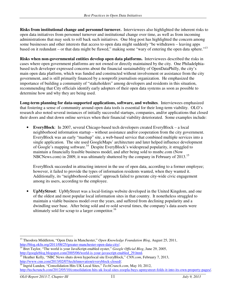**Risks from institutional change and personnel turnover.** Interviewees also highlighted the inherent risks to open data initiatives from personnel turnover and institutional change over time, as well as from incoming administrations that may seek to roll back such initiatives. One blog post has highlighted the concern among some businesses and other interests that access to open data might suddenly "be withdrawn – leaving apps based on it redundant – or that data might be flawed," making some "wary of entering the open data sphere."<sup>13</sup>

**Risks when non-governmental entities develop open data platforms.** Interviewees described the risks in cases where open government platforms are not owned or directly maintained by the city. One Philadelphiabased tech developer expressed concerns about the financial sustainability of OpenDataPhilly, the city's main open data platform, which was funded and constructed without involvement or assistance from the city government, and is still primarily financed by a nonprofit journalism organization. He emphasized the importance of building a community of "stakeholders" among developers and residents in this situation, recommending that City officials identify early adopters of their open data systems as soon as possible to determine how and why they are being used.

**Long-term planning for data-supported applications, software, and websites**. Interviewees emphasized that fostering a sense of community around open data tools is essential for their long-term viability. OLO's research also noted several instances of initially successful startups, companies, and/or applications that closed their doors and shut down online services when their financial viability deteriorated. Some examples include:

• **EveryBlock**: In 2007, several Chicago-based tech developers created EveryBlock – a local neighborhood information startup – without assistance and/or cooperation from the city government. EveryBlock was an early "mashup" site, a web-based service that combined multiple services into a single application. The site used GoogleMaps' architecture and later helped influence development of Google's mapping software.<sup>14</sup> Despite EveryBlock's widespread popularity, it struggled to maintain a financially feasible business model, and after being sold to msnbc.com (Now NBCNews.com) in 2009, it was ultimately shuttered by the company in February of 2013.<sup>15</sup>

EveryBlock succeeded in attracting interest in the use of open data, according to a former employee; however, it failed to provide the types of information residents wanted, when they wanted it. Additionally, its "neighborhood-centric" approach failed to generate city-wide civic engagement among its users, according to the employee.

• **UpMyStreet**: UpMyStreet was a local-listings website developed in the United Kingdom, and one of the oldest and most popular local information sites in that country. It nonetheless struggled to maintain a viable business model over the years, and suffered from declining popularity and a dwindling user base. After being sold and re-sold several times, the company's data assets were ultimately sold for scrap to a larger competitor.<sup>16</sup>

<sup>&</sup>lt;u>.</u> <sup>13</sup> Theodora Middleton, "Open Data in Manchester," *Open Knowledge Foundation Blog*, August 25, 2011, http://blog.okfn.org/2011/08/25/greater-manchester-open-data-city/.

<sup>14</sup> Bret Taylor, "The world is your JavaScript-enabled oyster," *Google Official Blog*, June 29, 2005, http://googleblog.blogspot.com/2005/06/world-is-your-javascript-enabled\_29.html.

<sup>&</sup>lt;sup>15</sup> Heather Kelly, "NBC News shuts down hyperlocal site EveryBlock," *CNN.com*, February 7, 2013, http://www.cnn.com/2013/02/07/tech/innovation/everyblock-closed/.

<sup>16</sup> Ingrid Lunden, "Consolidation Hits UK Local Sites," *TechCrunch.com*, May 10, 2012, http://techcrunch.com/2012/05/10/consolidation-hits-uk-local-sites-zoopla-buys-upmystreet-folds-it-into-its-own-property-pages/.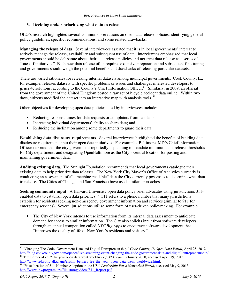#### **3. Deciding and/or prioritizing what data to release**

OLO's research highlighted several common observations on open data release policies, identifying general policy guidelines, specific recommendations, and some related drawbacks.

**Managing the release of data**. Several interviewees asserted that it is in local governments' interest to actively manage the release, availability and subsequent use of data. Interviewees emphasized that local governments should be deliberate about their data release policies and not treat data release as a series of "one-off initiatives." Each new data release often requires extensive preparation and subsequent fine-tuning and governments should weigh the potential benefits and drawbacks of releasing particular datasets.

There are varied rationales for releasing internal datasets among municipal governments. Cook County, IL, for example, releases datasets with specific problems or issues and challenges interested developers to generate solutions, according to the County's Chief Information Officer.<sup>17</sup> Similarly, in 2009, an official from the government of the United Kingdom posted a raw set of bicycle accident data online. Within two days, citizens modified the dataset into an interactive map with analysis tools.<sup>18</sup>

Other objectives for developing open data policies cited by interviewees include:

- Reducing response times for data requests or complaints from residents;
- Increasing individual departments' ability to share data; and
- Reducing the inclination among some departments to guard their data.

**Establishing data disclosure requirements**. Several interviewees highlighted the benefits of building data disclosure requirements into their open data initiatives. For example, Baltimore, MD's Chief Information Officer reported that the city government reportedly is planning to mandate minimum data release thresholds for City departments and designating OpenBaltimore as the City's central location for posting and maintaining government data.

**Auditing existing data.** The Sunlight Foundation recommends that local governments catalogue their existing data to help prioritize data releases. The New York City Mayor's Office of Analytics currently is conducting an assessment of all "machine-readable" data the City currently possesses to determine what data to release. The Cities of Chicago and San Francisco have used similar approaches.

**Seeking community input**. A Harvard University open data policy brief advocates using jurisdictions 311 enabled data to establish open data priorities.<sup>19</sup> 311 refers to a phone number that many jurisdictions establish for residents seeking non-emergency government information and services (similar to 911 for emergency services). Several jurisdictions utilize some form of user-driven policymaking. For example:

• The City of New York intends to use information from its internal data assessment to anticipate demand for access to similar information. The City also solicits input from software developers through an annual competition called *NYC Big Apps* to encourage software development that "improves the quality of life of New York's residents and visitors."

<sup>-</sup><sup>17</sup> "Changing The Code: Government Data and Digital Entrepreneurship," *Cook County, IL Open Data Portal*, April 25, 2012, http://blog.cookcountygov.com/opencc/live-streaming-event-changing-the-code-government-data-and-digital-entrepreneurship/. <sup>18</sup> Tim Berners-Lee, "The year open data went worldwide," *TED.com*, February 2010, accessed April 19, 2013,

http://www.ted.com/talks/lang/en/tim\_berners\_lee\_the\_year\_open\_data\_went\_worldwide.html.

<sup>&</sup>lt;sup>19</sup> "Visualization of 311 Number Adoption in the US," *Leadership For a Networked World*, accessed May 9, 2013, http://www.lnwprogram.org/file-storage/view/311\_Report.pdf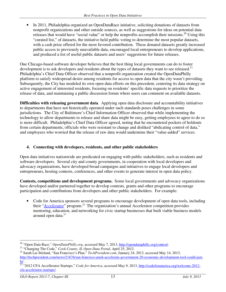• In 2011, Philadelphia organized an OpenDataRace initiative, soliciting donations of datasets from nonprofit organizations and other outside sources, as well as suggestions for ideas on potential data releases that would have "social value" or help the nonprofits accomplish their missions.<sup>20</sup> Using this "curated list," of datasets, the initiative held public voting to determine the most popular datasets, with a cash prize offered for the most favored contribution. These donated datasets greatly increased public access to previously unavailable data, encouraged local entrepreneurs to develop applications, and produced a list of useful public datasets and users' suggestions for future releases.

One Chicago-based software developer believes that the best thing local governments can do to foster development is to ask developers and residents about the types of datasets they want to see released.<sup>21</sup> Philadelphia's Chief Data Officer observed that a nonprofit organization created the OpenDataPhilly platform to satisfy widespread desire among residents for access to open data that the city wasn't providing. Subsequently, the City has modeled its own open data efforts on this precedent, centering its data strategy on active engagement of interested residents, focusing on residents' specific data requests to prioritize the release of data, and maintaining a public discussion forum where users can comment on available datasets.

**Difficulties with releasing government data**. Applying open data disclosure and accountability initiatives to departments that have not historically operated under such standards poses challenges in some jurisdictions. The City of Baltimore's Chief Information Officer observed that while implementing the technology to allow departments to release and share data might be easy, getting employees to agree to do so is more difficult. Philadelphia's Chief Data Officer agreed, noting that he encountered pockets of holdouts from certain departments, officials who were resistant to change and disliked "abdicating control of data," and employees who worried that the release of raw data would undermine their "value-added" services.

### **4. Connecting with developers, residents, and other public stakeholders**

Open data initiatives nationwide are predicated on engaging with public stakeholders, such as residents and software developers. Several city and county governments, in cooperation with local developers and advocacy organizations, have developed broad campaigns and initiatives to engage local developers and entrepreneurs, hosting contests, conferences, and other events to generate interest in open data policy.

**Contests, competitions and development programs.** Some local governments and advocacy organizations have developed and/or partnered together to develop contests, grants and other programs to encourage participation and contributions from developers and other public stakeholders. For example:

• Code for America sponsors several programs to encourage development of open data tools, including their "*Accelerator*" program.<sup>22</sup> The organization's annual Accelerator competition provides mentoring, education, and networking for civic startup businesses that built viable business models around open data.<sup>23</sup>

<sup>&</sup>lt;u>.</u> <sup>20</sup> "Open Data Race," *OpenDataPhilly.org*, accessed May 7, 2013, http://opendataphilly.org/contest/.

<sup>&</sup>lt;sup>21</sup> "Changing The Code," *Cook County, IL Open Data Portal*, April 25, 2012.

<sup>22</sup> Sarah Lai Stirland, "San Francisco's Plan," *TechPresident.com*, January 24, 2013, accessed May 14, 2013, http://techpresident.com/news/21676/san-francisco-push-accelerate-government-20-economic-development-tool-could-justbe`.

<sup>&</sup>lt;sup>23</sup> "2012 CFA Accellerator Startups," *Code for America*, accessed May 9, 2013, http://codeforamerica.org/welcome-2012cfa-accelerator-startups/.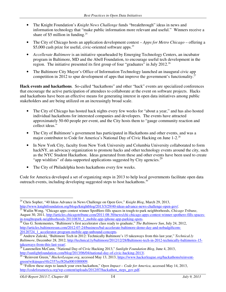- The Knight Foundation's *Knight News Challenge* funds "breakthrough" ideas in news and information technology that "make public information more relevant and useful." Winners receive a share of \$5 million in funding. $^{24}$
- The City of Chicago hosts an application development contest *Apps for Metro Chicago* offering a \$5,000 cash prize for useful, civic-oriented software apps.<sup>25</sup>
- *Accellerate Baltimore* is an initiative spearheaded by Emerging Technology Centers, an incubator program in Baltimore, MD and the Abell Foundation, to encourage useful tech development in the region. The initiative presented its first group of four "graduates" in July 2012.<sup>26</sup>
- The Baltimore City Mayor's Office of Information Technology launched an inaugural civic app competition in 2012 to spur development of apps that improve the government's functionality.<sup>27</sup>

**Hack events and hackathons**. So-called "hackathons" and other "hack" events are specialized conferences that encourage the active participation of attendees to collaborate at the event on software projects. Hacks and hackathons have been an effective means for generating interest in open data initiatives among public stakeholders and are being utilized on an increasingly broad scale.

- The City of Chicago has hosted hack nights every few weeks for "about a year," and has also hosted individual hackathons for interested companies and developers. The events have attracted approximately 50-60 people per event, and the City hosts them to "gauge community reaction and collect ideas."
- The City of Baltimore's government has participated in Hackathons and other events, and was a major contributor to Code for America's National Day of Civic Hacking on June 1-2.<sup>28</sup>
- In New York City, faculty from New York University and Columbia University collaborated to form hackNY, an advocacy organization to promote hacks and other technology events around the city, such as the NYC Student Hackathon. Ideas generated from these and other events have been used to create "app wishlists" of data-supported applications suggested by City agencies.<sup>29</sup>
- The City of Philadelphia hosts hackathons every few weeks.

Code for America developed a set of organizing steps in 2013 to help local governments facilitate open data outreach events, including developing suggested steps to host hackathons. $30$ 

<sup>-</sup><sup>24</sup> Chris Sopher, "40 Ideas Advance in News Challenge on Open Gov," *Knight Blog*, March 29, 2013, http://www.knightfoundation.org/blogs/knightblog/2013/3/29/40-ideas-advance-news-challenge-open-gov/.

<sup>25</sup> Wailin Wong, "Chicago apps contest winner SpotHero fills spaces in tough-to-park neighborhoods, *Chicago Tribune*, August 30, 2011, http://articles.chicagotribune.com/2011-08-30/news/chi-chicago-apps-contest-winner-spothero-fills-spacesin-toughtopark-neighborhoods-20110830\_1\_mobile-app-iphone-app-parking-spots.

<sup>&</sup>lt;sup>26</sup> Gus G. Sentementes, "Baltimore's first accelerator class ready to graduate," *The Baltimore Sun*, July 24, 2012, http://articles.baltimoresun.com/2012-07-24/business/bal-accelerate-baltimore-demo-day-and-nobadgiftcom-20120724\_1\_accelerator-program-mobile-app-unbound-concepts.<br> $\frac{20120724}{27}$  Andrew 7-1 at the Martin  $\frac{20120724}{27}$ 

<sup>27</sup> Andrew Zaleski, "Baltimore Tech in 2012: Technically Baltimore's 15 takeaways from this last year," *Technical.ly Baltimore*, December 28, 2012, http://technical.ly/baltimore/2012/12/28/Baltimore-tech-in-2012-technically-baltimores-15 takeaways-from-this-last-year/.

<sup>28</sup> Laurenellen McCann, "National Day of Civic Hacking 2013," *Sunlight Foundation Blog*, June 4, 2013, http://sunlightfoundation.com/blog/2013/06/04/national-day-of-civic-hacking-2013/.

<sup>&</sup>lt;sup>29</sup> "Reinvent Green," *HackerLeague.org*, accessed May 13, 2013, https://www.hackerleague.org/hackathons/reinventgreen/wikipages/4fe2357ecf826a0001000009.

<sup>&</sup>lt;sup>30</sup> "Follow these steps to launch your own hackathon," *Open Impact – Code for America*, accessed May 14, 2013, http://codeforamerica.org/wp-content/uploads/2012/07/hackathon\_steps\_gov.pdf.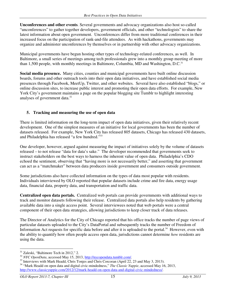**Unconferences and other events**. Several governments and advocacy organizations also host so-called "unconferences" to gather together developers, government officials, and other "technologists" to share the latest information about open government. Unconferences differ from more traditional conferences in their increased focus on the participation of rank-and-file attendees. As with hackathons, governments may organize and administer unconferences by themselves or in partnership with other advocacy organizations.

Municipal governments have begun hosting other types of technology-related conferences, as well. In Baltimore, a small series of meetings among tech professionals grew into a monthly group meeting of more than 1,500 people, with monthly meetings in Baltimore, Columbia, MD and Washington, D.C.<sup>31</sup>

**Social media presence.** Many cities, counties and municipal governments have built online discussion boards, forums and other outreach tools into their open data initiatives, and have established social media presences through Facebook, MeetUp, Twitter, and other websites. Several have also established "blogs," or online discussion sites, to increase public interest and promoting their open data efforts. For example, New York City's government maintains a page on the popular blogging site Tumblr to highlight interesting analyses of government data.<sup>32</sup>

## **5. Tracking and measuring the use of open data**

There is limited information on the long-term impact of open data initiatives, given their relatively recent development. One of the simplest measures of an initiative for local governments has been the number of datasets released. For example, New York City has released 805 datasets, Chicago has released 430 datasets, and Philadelphia has released "a few hundred."<sup>33</sup>

One developer, however, argued against measuring the impact of initiatives solely by the volume of datasets released – to not release "data for data's sake." The developer recommended that governments seek to instruct stakeholders on the best ways to harness the inherent value of open data. Philadelphia's CDO echoed the sentiment, observing that "having more is not necessarily better," and asserting that government can act as a "matchmaker" between data producers inside government and consumers outside government.

Some jurisdictions also have collected information on the types of data most popular with residents. Individuals interviewed by OLO reported that popular datasets include crime and fire data, energy usage data, financial data, property data, and transportation and traffic data.

**Centralized open data portals.** Centralized web portals can provide governments with additional ways to track and monitor datasets following their release. Centralized data portals also help residents by gathering available data into a single access point. Several interviewees noted that web portals were a central component of their open data strategies, allowing jurisdictions to keep closer track of data releases.

The Director of Analytics for the City of Chicago reported that his office tracks the number of page views of particular datasets uploaded to the City's DataPortal and subsequently tracks the number of Freedom of Information Act requests for specific data before and after it is uploaded to the portal.<sup>34</sup> However, even with the ability to quantify how often people access open data, jurisdictions cannot determine *how* residents are using the data.

<sup>-</sup><sup>31</sup> Zaleski, "Baltimore Tech in 2012," 2.

<sup>&</sup>lt;sup>32</sup> *NYC OpenData*, accessed May 15, 2013, http://nycopendata.tumblr.com/.

<sup>&</sup>lt;sup>33</sup> Interviews with Mark Headd, Chris Tonjes and Chris Corcoran (April 22, 23 and May 3, 2013).

<sup>34</sup> "Mark Headd on open data and digital civic-mindedness," *The Classic Yuppie*, accessed May 16, 2013, http://www.classicyuppie.com/2012/12/mark-headd-on-open-data-and-digital-civic-mindedness/.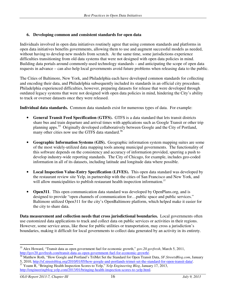#### **6. Developing common and consistent standards for open data**

Individuals involved in open data initiatives routinely agree that using common standards and platforms in open data initiatives benefits governments, allowing them to use and augment successful models as needed, without having to develop new models from scratch. At the same time, some jurisdictions experience difficulties transitioning from old data systems that were not designed with open data policies in mind. Building data portals around commonly-used technology standards – and anticipating the scope of open data requests in advance – can also help local governments avoid future problems when releasing data to the public.

The Cities of Baltimore, New York, and Philadelphia each have developed common standards for collecting and encoding their data, and Philadelphia subsequently included its standards in an official city procedure. Philadelphia experienced difficulties, however, preparing datasets for release that were developed through outdated legacy systems that were not designed with open data policies in mind, hindering the City's ability to track or oversee datasets once they were released.

**Individual data standards.** Common data standards exist for numerous types of data. For example:

- **General Transit Feed Specification (GTFS).** GTFS is a data standard that lets transit districts share bus and train departure and arrival times with applications such as Google Transit or other trip planning apps.<sup>35</sup> Originally developed collaboratively between Google and the City of Portland, many other cities now use the GTFS data standard. $36$
- **Geographic Information Systems (GIS).** Geographic information system mapping suites are some of the most widely-utilized data mapping tools among municipal governments. The functionality of this software depends on the consistency and accuracy of information provided, spurring a push to develop industry-wide reporting standards. The City of Chicago, for example, includes geo-coded information in all of its datasets, including latitude and longitude data where possible.
- Local Inspection Value-Entry Specification (LIVES). This open data standard was developed by the restaurant review site Yelp, in partnership with the cities of San Francisco and New York, and will allow municipalities to publish restaurant health inspection information.<sup>37</sup>
- **Open311.** This open communication data standard was developed by OpenPlans.org, and is designed to provide "open channels of communication for…public space and public services." Baltimore utilized Open311 for the city's OpenBaltimore platform, which helped make it easier for the city to share data.

**Data measurement and collection needs that cross jurisdictional boundaries.** Local governments often use customized data applications to track and collect data on public services or activities in their regions. However, some service areas, like those for public utilities or transportation, may cross a jurisdiction's boundaries, making it difficult for local governments to collect data generated by an activity in its entirety.

<sup>-</sup><sup>35</sup> Alex Howard, "Transit data as open government fuel for economic growth," *gov.20.govfresh*, March 5, 2011, http://gov20.govfresh.com/transit-data-as-open-government-fuel-for-economic-growth/.

<sup>36</sup> Matthew Roth, "How Google and Portland's TriMet Set the Standard for Open Transit Data, *SF.StreetsBlog.com*, January 5, 2010, http://sf.streetsblog.org/2010/01/05/how-google-and-portlands-trimet-set-the-standard-for-open-transit-data/.

<sup>&</sup>lt;sup>37</sup> Yoann R, "Bringing Health Inspection Scores to Yelp," *Yelp Engineering Blog*, January 17, 2013, http://engineeringblog.yelp.com/2013/01/bringing-health-inspection-scores-to-yelp.html.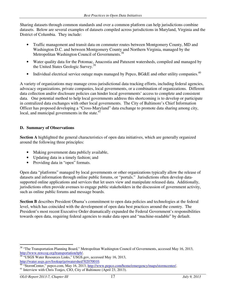Sharing datasets through common standards and over a common platform can help jurisdictions combine datasets. Below are several examples of datasets compiled across jurisdictions in Maryland, Virginia and the District of Columbia. They include:

- Traffic management and transit data on commuter routes between Montgomery County, MD and Washington D.C. and between Montgomery County and Northern Virginia, managed by the Metropolitan Washington Council of Governments.<sup>38</sup>
- Water quality data for the Potomac, Anacostia and Patuxent watersheds, compiled and managed by the United States Geologic Survey.<sup>39</sup>
- Individual electrical service outage maps managed by Pepco, BG&E and other utility companies.<sup>40</sup>

A variety of organizations may manage cross-jurisdictional data tracking efforts, including federal agencies, advocacy organizations, private companies, local governments, or a combination of organizations. Different data collection and/or disclosure policies can hinder local governments' access to complete and consistent data. One potential method to help local governments address this shortcoming is to develop or participate in centralized data exchanges with other local governments. The City of Baltimore's Chief Information Officer has proposed developing a "Cross-Maryland" data exchange to promote data sharing among city, local, and municipal governments in the state.<sup>41</sup>

#### **D. Summary of Observations**

**Section A** highlighted the general characteristics of open data initiatives, which are generally organized around the following three principles:

- Making government data publicly available,
- Updating data in a timely fashion; and
- Providing data in "open" formats.

Open data "platforms" managed by local governments or other organizations typically allow the release of datasets and information through online public forums, or "portals." Jurisdictions often develop datasupported online applications and services that let users view and manipulate released data. Additionally, jurisdictions often provide avenues to engage public stakeholders in the discussion of government activity, such as online public forums and message boards.

**Section B** describes President Obama's commitment to open data policies and technologies at the federal level, which has coincided with the development of open data best practices around the country. The President's most recent Executive Order dramatically expanded the Federal Government's responsibilities towards open data, requiring federal agencies to make data open and "machine-readable" by default.

<sup>-</sup><sup>38</sup> "The Transportation Planning Board," Metropolitan Washington Council of Governments, accessed May 16, 2013, http://www.mwcog.org/transportation/tpb/.

<sup>&</sup>lt;sup>39</sup> "USGS Water Resources Links," USGS gov, accessed May 16, 2013, http://water.usgs.gov/lookup/getwatershed?02070010.

<sup>&</sup>lt;sup>40</sup> "StormCenter," pepco.com, May 16, 2013, http://www.pepco.com/home/emergency/maps/stormcenter/.

<sup>&</sup>lt;sup>41</sup> Interview with Chris Tonjes, CIO, City of Baltimore (April 23, 2013).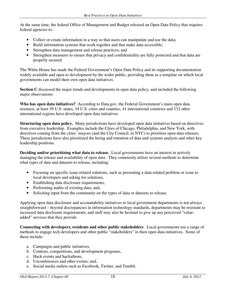At the same time, the federal Office of Management and Budget released an Open Data Policy that requires federal agencies to:

- Collect or create information in a way so that users can manipulate and use the data;
- Build information systems that work together and that make data accessible;
- Strengthen data management and release practices; and
- Strengthen measures to ensure that privacy and confidentiality are fully protected and that data are properly secured.

The White House has made the Federal Government's Open Data Policy and its supporting documentation widely available and open to development by the wider public, providing them as a template on which local governments can model their own open data initiatives.

**Section C** discussed the major trends and developments in open data policy, and included the following major observations:

**Who has open data initiatives?** According to Data.gov, the Federal Government's main open data resource, at least 39 U.S. states, 34 U.S. cities and counties, 41 international countries and 132 other international regions have developed open data initiatives.

**Structuring open data policy.** Many jurisdictions have developed open data initiatives based on directives from executive leadership. Examples include the Cities of Chicago, Philadelphia, and New York, with directives coming from the cities' mayors (and the City Council, in NYC) to prioritize open data releases. These jurisdictions have also prioritized the hiring and retention of data and systems analysts and other key leadership positions.

**Deciding and/or prioritizing what data to release.** Local governments have an interest in actively managing the release and availability of open data. They commonly utilize several methods to determine what types of data and datasets to release, including:

- Focusing on specific issue-related solutions, such as presenting a data-related problem or issue to local developers and asking for solutions,
- Establishing data disclosure requirements,
- Performing audits of existing data; and,
- Soliciting input from the community on the types of data or datasets to release.

Applying open data disclosure and accountability initiatives to local government departments is not always straightforward – beyond discrepancies in information technology standards, departments may be resistant to increased data disclosure requirements, and staff may also be hesitant to give up any perceived "valueadded" services that they provide.

**Connecting with developers, residents and other public stakeholders**. Local governments use a range of methods to engage tech developers and other public "stakeholders" in their open data initiatives. Some of these include:

- a. Campaigns and public initiatives,
- b. Contests, competitions, and development programs,
- c. Hack events and hackathons,
- d. Unconferences and other events; and,
- e. Social media outlets such as Facebook, Twitter, and Tumblr.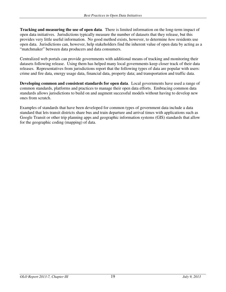**Tracking and measuring the use of open data**. There is limited information on the long-term impact of open data initiatives. Jurisdictions typically measure the number of datasets that they release, but this provides very little useful information. No good method exists, however, to determine *how* residents use open data. Jurisdictions can, however, help stakeholders find the inherent value of open data by acting as a "matchmaker" between data producers and data consumers.

Centralized web portals can provide governments with additional means of tracking and monitoring their datasets following release. Using them has helped many local governments keep closer track of their data releases. Representatives from jurisdictions report that the following types of data are popular with users: crime and fire data, energy usage data, financial data, property data; and transportation and traffic data.

**Developing common and consistent standards for open data**. Local governments have used a range of common standards, platforms and practices to manage their open data efforts. Embracing common data standards allows jurisdictions to build on and augment successful models without having to develop new ones from scratch.

Examples of standards that have been developed for common types of government data include a data standard that lets transit districts share bus and train departure and arrival times with applications such as Google Transit or other trip planning apps and geographic information systems (GIS) standards that allow for the geographic coding (mapping) of data.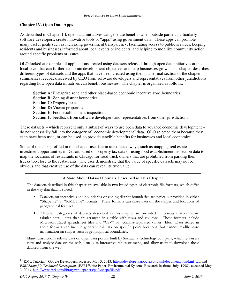#### **Chapter IV. Open Data Apps**

As described in Chapter III, open data initiatives can generate benefits when outside parties, particularly software developers, create innovative tools or "apps" using government data. These apps can promote many useful goals such as increasing government transparency, facilitating access to public services, keeping residents and businesses informed about local events or incidents, and helping to mobilize community action around specific problems or issues.

OLO looked at examples of applications created using datasets released through open data initiatives at the local level that can further economic development objectives and help businesses grow. This chapter describes different types of datasets and the apps that have been created using them. The final section of the chapter summarizes feedback received by OLO from software developers and representatives from other jurisdictions regarding how open data initiatives can benefit businesses. The chapter is organized as follows:

**Section A:** Enterprise zone and other place-based economic incentive zone boundaries **Section B:** Zoning district boundaries **Section C: Property taxes Section D:** Vacant properties **Section E:** Food establishment inspections **Section F:** Feedback from software developers and representatives from other jurisdictions

These datasets – which represent only a subset of ways to use open data to advance economic development – do not necessarily fall into the category of "economic development" data. OLO selected them because they each have been used, or can be used, to provide tangible benefits for businesses and local economies.

Some of the apps profiled in this chapter use data in unexpected ways, such as mapping real estate investment opportunities in Detroit based on property tax data or using food establishment inspection data to map the locations of restaurants in Chicago for food truck owners that are prohibited from parking their trucks too close to the restaurants. The uses demonstrate that the value of specific datasets may not be obvious and that creative use of the data can reveal its true value.

#### A Note About Dataset Formats Described in This Chapter

The datasets described in this chapter are available in two broad types of electronic file formats, which differ in the way that data is stored:

- Datasets on incentive zone boundaries or zoning district boundaries are typically provided in either "Shapefile" or "KML File" formats. These formats can store data on the shapes and locations of geographical features.<sup>1</sup>
- All other categories of datasets described in this chapter are provided in formats that can store tabular data – data that are arranged in a table with rows and columns. These formats include Microsoft Excel spreadsheet files and "CSV" or "comma-separated values" files. Data stored in these formats can include geographical data on specific point locations, but cannot readily store information on shapes such as geographical boundaries.

Many jurisdictions release data on open data portals built by Socrata, a technology company, which lets users view and analyze data on the web, usually as interactive tables or maps, and allow users to download these datasets from the web.

<sup>&</sup>lt;sup>1</sup> "KML Tutorial," Google Developers, accessed May 3, 2013, https://developers.google.com/kml/documentation/kml\_tut; and *ESRI Shapefile Technical Description,* (ESRI White Paper, Environmental Systems Research Institute, July, 1998), accessed May 3, 2013, http://www.esri.com/library/whitepapers/pdfs/shapefile.pdf.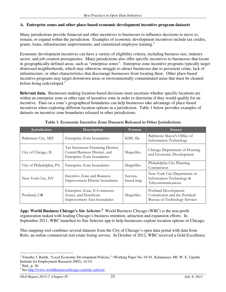#### **A. Enterprise zones and other place-based economic development incentive program datasets**

Many jurisdictions provide financial and other incentives to businesses to influence decisions to move to, remain, or expand within the jurisdiction. Examples of economic development incentives include tax credits, grants, loans, infrastructure improvements, and customized employee training.<sup>2</sup>

Economic development incentives can have a variety of eligibility criteria, including business size, industry sector, and job creation prerequisites. Many jurisdictions also offer specific incentives to businesses that locate in geographically-defined areas, such as "enterprise zones". Enterprise zone incentive programs typically target distressed neighborhoods, which may otherwise struggle to attract businesses due to persistent crime, lack of infrastructure, or other characteristics that discourage businesses from locating there. Other place-based incentive programs may target downtown areas or environmentally contaminated areas that must be cleaned before being redeveloped.<sup>3</sup>

**Relevant data.** Businesses making location-based decisions must ascertain whether specific locations are within an enterprise zone or other type of incentive zone in order to determine if they would qualify for an incentive. Data on a zone's geographical boundaries can help businesses take advantage of place-based incentives when exploring different location options in a jurisdiction. Table 1 below provides examples of datasets on incentive zone boundaries released in other jurisdictions.

| <b>Jurisdiction</b>      | Description                                                                                       | Format                | <b>Source</b>                                                                        |
|--------------------------|---------------------------------------------------------------------------------------------------|-----------------------|--------------------------------------------------------------------------------------|
| Baltimore City, MD       | Enterprise Zone boundaries                                                                        | KML file              | Baltimore Mayor's Office of<br><b>Information Technology</b>                         |
| City of Chicago, IL      | Tax Increment Financing District,<br>Central Business District, and<br>Enterprise Zone boundaries | Shapefiles            | Chicago Department of Housing<br>and Economic Development                            |
| City of Philadelphia, PA | Enterprise Zone boundaries                                                                        | Shapefiles            | Philadelphia City Planning<br>Commission                                             |
| New York City, NY        | Incentive Zone and Business<br><b>Improvement District boundaries</b>                             | Socrata-<br>based map | New York City Department of<br>Information Technology &<br>Telecommunications        |
| Portland, OR             | Enterprise Zone, E-Commerce<br>Zones, and Storefront<br>Improvement Area boundaries               | Shapefiles            | Portland Development<br>Commission and the Portland<br>Bureau of Technology Services |

Table 1. Economic Incentive Zone Datasets Released in Other Jurisdictions

**App: World Business Chicago's** *Site Selector***. 4** World Business Chicago (WBC) is the non-profit organization tasked with leading Chicago's business retention, attraction and expansion efforts. In September 2011, WBC launched its Site Selector app to help businesses explore location options in Chicago.

This mapping tool combines several datasets from the City of Chicago's open data portal with data from Rofo, an online commercial real estate listing service. In October of 2012, WBC received a Gold Excellence

<sup>2</sup> Timothy J. Bartik, "Local Economic Development Policies," (Working Paper No. 03-91, Kalamazoo, MI: W. E. Upjohn Institute for Employment Research 2003), 14-19.

 $3$  Ibid., p. 36.

<sup>&</sup>lt;sup>4</sup> See http://www.worldbusinesschicago.com/site-selector.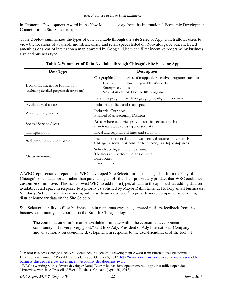in Economic Development Award in the New Media category from the International Economic Development Council for the Site Selector App.<sup>5</sup>

Table 2 below summarizes the types of data available through the Site Selector App, which allows users to view the locations of available industrial, office and retail spaces listed on Rofo alongside other selected amenities or areas of interest on a map powered by Google. Users can filter incentive programs by business size and business type.

| Data Type                                                                       | Description                                                                                                                                                                      |
|---------------------------------------------------------------------------------|----------------------------------------------------------------------------------------------------------------------------------------------------------------------------------|
| <b>Economic Incentive Programs</b><br>(including detailed program descriptions) | Geographical boundaries of mappable incentive programs such as:<br>Tax Increment Financing - TIF Works Program<br><b>Enterprise Zones</b><br>New Markets for Tax Credits program |
|                                                                                 | Incentive programs with no geographic eligibility criteria                                                                                                                       |
| Available real estate                                                           | Industrial, office, and retail space                                                                                                                                             |
| Zoning designations                                                             | <b>Industrial Corridors</b><br>Planned Manufacturing Districts                                                                                                                   |
| Special Service Areas                                                           | Areas where tax levies provide special services such as<br>maintenance, advertising and security                                                                                 |
| Transportation                                                                  | Local and regional rail lines and stations                                                                                                                                       |
| Web/mobile tech companies                                                       | Including location data that was "crowd-sourced" by Built In<br>Chicago, a social platform for technology startup companies                                                      |
| Other amenities                                                                 | Schools, colleges and universities<br>Theaters and performing arts centers<br>Bike routes<br>Data centers                                                                        |

**Table 2. Summary of Data Available through Chicago's Site Selector App** 

A WBC representative reports that WBC developed Site Selector in-house using data from the City of Chicago's open data portal, rather than purchasing an off-the-shelf proprietary product that WBC could not customize or improve. This has allowed WBC to add more types of data to the app, such as adding data on available retail space in response to a priority established by Mayor Rahm Emanuel to help small businesses. Similarly, WBC currently is working with a software developer<sup>6</sup> to provide more comprehensive zoning district boundary data on the Site Selector.<sup>7</sup>

Site Selector's ability to filter business data in numerous ways has garnered positive feedback from the business community, as reported on the Built In Chicago blog:

The combination of information available is unique within the economic development community. "It is very, very good," said Bob Ady, President of Ady International Company, and an authority on economic development, in response to the user-friendliness of the tool. "I

 5 "World Business Chicago Receives Excellence in Economic Development Award from International Economic Development Council," World Business Chicago, October 5, 2012, http://www.worldbusinesschicago.com/news/worldbusiness-chicago-receives-excellence-in-economic-development-award.

<sup>&</sup>lt;sup>6</sup> WBC is working with software developer Derek Eder, who has developed numerous apps that utilize open data. <sup>7</sup> Interview with Jake Trussell of World Business Chicago (April 30, 2013).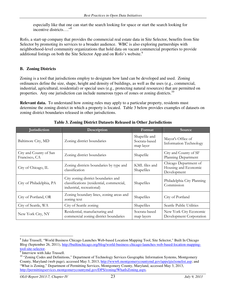especially like that one can start the search looking for space or start the search looking for incentive districts…."<sup>8</sup>

Rofo, a start-up company that provides the commercial real estate data in Site Selector, benefits from Site Selector by promoting its services to a broader audience. WBC is also exploring partnerships with neighborhood-level community organizations that hold data on vacant commercial properties to provide additional listings on both the Site Selector App and on Rofo's website.<sup>9</sup>

## **B. Zoning Districts**

Zoning is a tool that jurisdictions employ to designate how land can be developed and used. Zoning ordinances define the size, shape, height and density of buildings, as well as the uses (e.g., commercial, industrial, agricultural, residential) or special uses (e.g., protecting natural resources) that are permitted on properties. Any one jurisdiction can include numerous types of zones or zoning districts.<sup>10</sup>

**Relevant data.** To understand how zoning rules may apply to a particular property, residents must determine the zoning district in which a property is located. Table 3 below provides examples of datasets on zoning district boundaries released in other jurisdictions.

| <b>Jurisdiction</b>                     | Description                                                                                                   | Format                                      | Source                                                       |
|-----------------------------------------|---------------------------------------------------------------------------------------------------------------|---------------------------------------------|--------------------------------------------------------------|
| Baltimore City, MD                      | Zoning district boundaries                                                                                    | Shapefile and<br>Socrata-based<br>map layer | Mayor's Office of<br><b>Information Technology</b>           |
| City and County of San<br>Francisco, CA | Zoning district boundaries                                                                                    | Shapefile                                   | City and County of SF<br>Planning Department                 |
| City of Chicago, IL                     | Zoning districts boundaries by type and<br>classification                                                     | KML files and<br>Shapefiles                 | Chicago Department of<br>Housing and Economic<br>Development |
| City of Philadelphia, PA                | City zoning district boundaries and<br>classifications (residential, commercial,<br>industrial, recreational) | Shapefiles                                  | Philadelphia City Planning<br>Commission                     |
| City of Portland, OR                    | Zoning boundary lines, zoning areas and<br>zoning text                                                        | Shapefiles                                  | City of Portland                                             |
| City of Seattle, WA                     | City of Seattle zoning                                                                                        | Shapefiles                                  | Seattle Public Utilities                                     |
| New York City, NY                       | Residential, manufacturing and<br>commercial zoning district boundaries                                       | Socrata-based<br>map layers                 | New York City Economic<br>Development Corporation            |

**Table 3. Zoning District Datasets Released in Other Jurisdictions**

<sup>&</sup>lt;sup>8</sup> Jake Trussell, "World Business Chicago Launches Web-based Location Mapping Tool, Site Selector," Built In Chicago Blog (September 26, 2011), http://builtinchicago.org/blog/world-business-chicago-launches-web-based-location-mappingtool-site-selector.

<sup>9</sup> Interview with Jake Trussell.

<sup>&</sup>lt;sup>10</sup> "Zoning Codes and Definitions," Department of Technology Services Geographic Information Systems, Montgomery County, Maryland (web page), accessed May 3, 2013, http://www6.montgomerycountymd.gov/apps/gis/zonelist.asp; and "What is Zoning," Department of Permitting Services, Montgomery County, Maryland, accessed May 3, 2013, http://permittingservices.montgomerycountymd.gov/DPS/zoning/WhatIsZoning.aspx.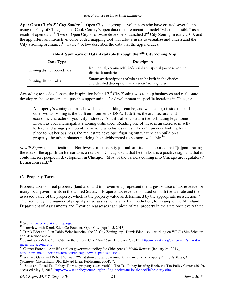App: Open City's 2<sup>nd</sup> City Zoning.<sup>11</sup> Open City is a group of volunteers who have created several apps using the City of Chicago's and Cook County's open data that are meant to model "what is possible" as a result of open data.<sup>12</sup> Two of Open City's software developers launched 2<sup>nd</sup> City Zoning in early 2013, and the app offers an interactive, color-coded mapping tool that allows users to visualize and understand the City's zoning ordinance.<sup>13</sup> Table 4 below describes the data that the app includes.

| Data Type                  | Description                                                                                                       |
|----------------------------|-------------------------------------------------------------------------------------------------------------------|
| Zoning district boundaries | Residential, commercial, industrial and special purpose zoning<br>district boundaries                             |
| Zoning district rules      | Summary descriptions of what can be built in the district<br>and detailed descriptions of districts' zoning rules |

**Table 4. Summary of Data Available through the 2nd City Zoning App** 

According to its developers, the inspiration behind  $2<sup>nd</sup>$  City Zoning was to help businesses and real estate developers better understand possible opportunities for development in specific locations in Chicago:

A property's zoning controls how dense its buildings can be, and what can go inside them. In other words, zoning is the built environment's DNA. It defines the architectural and economic character of your city's streets. And it's all encoded in the forbidding legal tome known as your municipality's zoning ordinance. Reading one of these is an exercise in selftorture, and a huge pain point for anyone who builds cities: The entrepreneur looking for a place to put her business, the real estate developer figuring out what he can build on a property, the urban planner nudging the neighborhood to be more walkable.<sup>14</sup>

*Medill Reports*, a publication of Northwestern University journalism students reported that "[u]pon hearing the idea of the app, Brian Bernardoni, a realtor in Chicago, said that he thinks it is a positive sign and that it could interest people in development in Chicago. 'Most of the barriers coming into Chicago are regulatory,' Bernardoni said."<sup>15</sup>

## **C. Property Taxes**

Property taxes on real property (land and land improvements) represent the largest source of tax revenue for many local governments in the United States.<sup>16</sup> Property tax revenue is based on both the tax rate and the assessed value of the property, which is the property value as determined by the appropriate jurisdiction.<sup>17</sup> The frequency and manner of property value assessments vary by jurisdiction; for example, the Maryland Department of Assessments and Taxation reassesses each piece of real property in the state once every three

<sup>-</sup><sup>11</sup> See http://secondcityzoning.org/.

 $12$  Interview with Derek Eder, Co-Founder, Open City (April 15, 2013).

<sup>&</sup>lt;sup>13</sup> Derek Eder and Juan-Pablo Velez launched the  $2^{nd}$  City Zoning app. Derek Eder also is working on WBC's Site Selector app, described above.

<sup>14</sup> Juan-Pablo Velez, "SimCity for the Second City," *Next City* (February 7, 2013), http://nextcity.org/daily/entry/sim-citymeets-the-second-city.

<sup>15</sup> Conner Forrest, "App lifts veil on government policy for Chicagoans," *Medill Reports* (January 24, 2013), http://news.medill.northwestern.edu/chicago/news.aspx?id=214542.

<sup>&</sup>lt;sup>16</sup> Wallace Oates and Robert Schwab, "What should local governments tax: income or property?" in *City Taxes, City Spending* (Cheltenham, UK: Edward Elgar Publishing, 2004), 7.

<sup>&</sup>quot;State and Local Tax Policy: How do property taxes work?" The Tax Policy Briefing Book, the Tax Policy Center (2010), accessed May 3, 2013, http://www.taxpolicycenter.org/briefing-book/state-local/specific/property.cfm.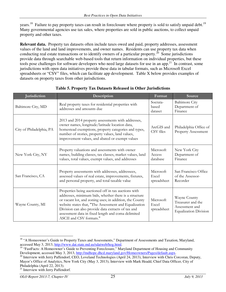years.<sup>18</sup> Failure to pay property taxes can result in foreclosure where property is sold to satisfy unpaid debt.<sup>19</sup> Many governmental agencies use tax sales, where properties are sold in public auctions, to collect unpaid property and other taxes.

**Relevant data.** Property tax datasets often include taxes owed and paid, property addresses, assessment values of the land and land improvements, and owner names. Residents can use property tax data when conducting real estate transactions or to identify owners of a particular property.<sup>20</sup> Some jurisdictions provide data through searchable web-based tools that return information on individual properties, but these tools pose challenges for software developers who need large datasets for use in an app.<sup>21</sup> In contrast, some jurisdictions with open data initiatives provide these data in tabular formats, such as Microsoft Excel spreadsheets or "CSV" files, which can facilitate app development. Table X below provides examples of datasets on property taxes from other jurisdictions.

| Jurisdiction             | Description                                                                                                                                                                                                                                                                                                                                                             | Format                            | Source                                                                              |
|--------------------------|-------------------------------------------------------------------------------------------------------------------------------------------------------------------------------------------------------------------------------------------------------------------------------------------------------------------------------------------------------------------------|-----------------------------------|-------------------------------------------------------------------------------------|
| Baltimore City, MD       | Real property taxes for residential properties with<br>addresses and amounts due                                                                                                                                                                                                                                                                                        | Socrata-<br>based<br>dataset      | <b>Baltimore City</b><br>Department of<br>Finance                                   |
| City of Philadelphia, PA | 2013 and 2014 property assessments with addresses,<br>owner names, longitude/latitude location data,<br>homestead exemptions, property categories and types,<br>number of stories, property values, land values,<br>improvement values, and abated or exempt values                                                                                                     | ArcGIS and<br>CSV files           | Philadelphia Office of<br><b>Property Assessment</b>                                |
| New York City, NY        | Property valuations and assessments with owner<br>names, building classes, tax classes, market values, land<br>values, total values, exempt values, and addresses                                                                                                                                                                                                       | Microsoft<br>Access<br>database   | New York City<br>Department of<br>Finance                                           |
| San Francisco, CA        | Property assessments with addresses, addressees,<br>assessed values of real estate, improvements, fixtures,<br>and personal property, and total taxable value                                                                                                                                                                                                           | Microsoft<br>Excel<br>spreadsheet | San Francisco Office<br>of the Assessor-<br>Recorder                                |
| Wayne County, MI         | Properties being auctioned off in tax auctions with<br>addresses, minimum bids, whether there is a structure<br>or vacant lot, and zoning uses; in addition, the County<br>website states that, "The Assessment and Equalization<br>Division can also provide data extracts of tax and<br>assessment data in fixed length and coma delimited<br>ASCII and CSV formats." | Microsoft<br>Excel<br>spreadsheet | Wayne County<br>Treasurer and the<br>Assessment and<br><b>Equalization Division</b> |

## **Table 5. Property Tax Datasets Released in Other Jurisdictions**

<sup>&</sup>lt;u>.</u> <sup>18</sup> "A Homeowner's Guide to Property Taxes and Assessments," Department of Assessments and Taxation, Maryland, accessed May 3, 2013, http://www.dat.state.md.us/sdatweb/hog.html.

<sup>&</sup>lt;sup>19</sup> "FastFacts: A Homeowner's Guide to Preventing Foreclosure," Maryland Department of Housing and Community Development, accessed May 3, 2013, http://mdhope.dhcd.maryland.gov/Homeowners/Pages/default.aspx.

<sup>&</sup>lt;sup>20</sup> Interview with Jerry Paffendorf, CEO, Loveland Technologies (April 24, 2013), Interview with Chris Corcoran, Deputy, Mayor's Office of Analytics, New York City (May 3, 2013), Interview with Mark Headd, Chief Data Officer, City of Philadelphia (April 22, 2013).

<sup>&</sup>lt;sup>21</sup> Interview with Jerry Paffendorf.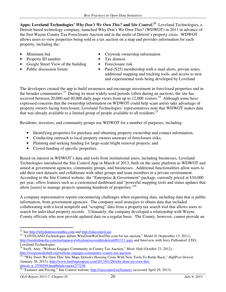**Apps: Loveland Technologies'** *Why Don't We Own This?* **and** *Site Control***. 22** Loveland Technologies, a Detroit-based technology company, launched Why Don't We Own This? (WDWOT) in 2011 in advance of the first Wayne County Tax Foreclosure Auction and in the midst of Detroit's property crisis. WDWOT allows users to view properties being sold in a tax auction on a map and provides information for each property, including the:

- 
- **Property ID number Tax distress**
- Google Street View of the building Foreclosure risk<br>Public discussion forum Paid (\$25) members
- 
- Minimum bid Citywide ownership information
	-
	-
	- Paid (\$25) membership with e-mail alerts, private notes, additional mapping and tracking tools, and access to new and experimental tools being developed by Loveland

The developers created the app to build awareness and encourage investment in foreclosed properties and in the broader communities.<sup>23</sup> During its most widely-used periods (often during an auction), the site has received between 20,000 and 40,000 daily page views from up to  $12,000$  visitors.<sup>24</sup> Although some have expressed concerns that the ownership information on WDWOT could help scam artists take advantage of property owners facing foreclosure, Loveland Technologies' representatives note that WDWOT makes data that was already available to a limited group of people available to all residents.<sup>25</sup>

Residents, investors, and community groups use WDWOT for a number of purposes, including:

- Identifying properties for purchase and obtaining property ownership and contact information;
- Conducting outreach to local property owners unaware of foreclosure risks;
- Planning and seeking funding for large-scale blight removal projects; and
- Crowd-funding of specific properties.

Based on interest in WDWOT's data and tools from institutional users, including businesses, Loveland Technologies introduced the Site Control App in March of 2013, built on the same platform as WDWOT and aimed at government agencies, community groups, and businesses. Additional functionalities allow users to add their own datasets and collaborate with other groups and team members in a private environment. According to the Site Control website, the "Enterprise & Government" package, currently priced at \$10,000 per year, offers features such as a customized dashboard and "powerful mapping tools and status updates that allow [users] to manage projects spanning hundreds of properties."<sup>26</sup>

A company representative reports encountering challenges when requesting data, including data that is public information, from government agencies. The company used strategies to obtain data that included collaborating with a local nonprofit and "scraping" data from a property tax search tool that allows users to search for individual property records. Ultimately, the company developed a relationship with Wayne County officials who now provide updated data on a regular basis. The County, however, cannot provide an

<sup>&</sup>lt;u>.</u> <sup>22</sup> See  $\frac{http://whydontwo|withis.com}{http://sitecontrol.us/}.$ 

<sup>&</sup>lt;sup>23</sup> "LOVELAND Technologies debuts WhyDontWeOwnThis.com for tax auction," Model D (September 13, 2011), http://modeldmedia.com/startupnews/whydontweownthisdetroit091311.aspx and Interview with Jerry Paffendorf, CEO, Loveland Technologies.

<sup>24</sup> Swift, Amy, "Website Engages Community in County Tax Auction," *Mode Shift* (October 23, 2012), http://wearemodeshift.org/website-engages-community-county-tax-auction.

<sup>&</sup>lt;sup>25</sup> "Why Don't We Own This' Site Maps Detroit's Housing Crisis With New Tools To Battle Back," *HuffPost Detroit* (January 28, 2013), http://www.huffingtonpost.com/2013/01/28/why-dont-we-own-thisdetroit\_n\_2550299.html#slide=more277238.

<sup>&</sup>lt;sup>26</sup> "Features and Pricing," Site Control website, http://sitecontrol.us/features (accessed April 29, 2013).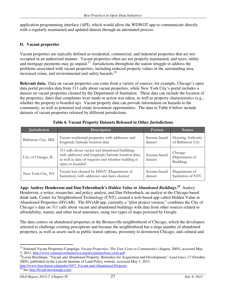application programming interface (API), which would allow the WDWOT app to communicate directly with a regularly maintained and updated dataset through an automated process.

## **D. Vacant properties**

Vacant properties are typically defined as residential, commercial, and industrial properties that are not occupied in an authorized manner. Vacant properties often are not properly maintained, and taxes, utility and mortgage payments may go unpaid.<sup>27</sup> Jurisdictions throughout the nation struggle to address the problems associated with vacant properties, including reduced property values in the surrounding area, increased crime, and environmental and safety hazards.<sup>28</sup>

**Relevant data.** Data on vacant properties can come from a variety of sources; for example, Chicago's open data portal provides data from 311 calls about vacant properties, while New York City's portal includes a dataset on vacant properties cleaned by the Department of Sanitation. These data can include the location of the properties, dates that complaints were made or action was taken, as well as property characteristics (e.g., whether the property is boarded up). Vacant property data can provide information on hazards to the community, as well as potential real estate investment opportunities. The data in Table 6 below include datasets of vacant properties released by different jurisdictions.

| <b>Jurisdiction</b> | Description                                                                                                                                                                      | Format                   | Source                                       |
|---------------------|----------------------------------------------------------------------------------------------------------------------------------------------------------------------------------|--------------------------|----------------------------------------------|
| Baltimore City, MD  | Vacant residential properties with addresses and                                                                                                                                 | Socrata-based            | Housing Authority                            |
|                     | longitude/latitude location data                                                                                                                                                 | dataset                  | of Baltimore City                            |
| City of Chicago, IL | 311 calls about vacant and abandoned buildings<br>with addresses and longitude/latitude location data,<br>as well as date of requests and whether building is<br>open or boarded | Socrata-based<br>dataset | Chicago<br>Department of<br><b>Buildings</b> |
| New York City, NY   | Vacant lots cleaned by DSNY (Department of                                                                                                                                       | Socrata-based            | Department of                                |
|                     | Sanitation) with addresses and dates cleaned                                                                                                                                     | dataset                  | Sanitation of NYC                            |

| <b>Table 6. Vacant Property Datasets Released in Other Jurisdictions</b> |  |  |
|--------------------------------------------------------------------------|--|--|
|--------------------------------------------------------------------------|--|--|

**App: Audrey Henderson and Dan Fehrenbach's** *Hidden Value in Abandoned Buildings***. 29** Audrey Henderson, a writer, researcher, and policy analyst, and Dan Fehrenbach, an analyst at the Chicago-based think tank, Center for Neighborhood Technology (CNT), created a web-based app called Hidden Value in Abandoned Properties (HViAB). The HViAB app, currently a "pilot project version," combines the City of Chicago's data on 311 calls about vacant and abandoned buildings with data from other sources related to affordability, transit, and other local amenities, using two types of maps powered by Google.

The data centers on abandoned properties in the Bronzeville neighborhood of Chicago, which the developers selected to challenge existing perceptions and because the neighborhood has a large number of abandoned properties, as well as assets such as public transit options, proximity to downtown Chicago, and cultural and

<sup>-</sup><sup>27</sup> National Vacant Properties Campaign, *Vacant Properties: The True Costs to Communities* (August, 2005), accessed May 3, 2013, http://www.smartgrowthamerica.org/documents/true-costs.pdf.

<sup>&</sup>lt;sup>28</sup>Lavea Brachman, "Vacant and Abandoned Property: Remedies for Acquisition and Development," *Land Lines 17* (October, 2005), published on the Lincoln Institute of Land Policy website, accessed May 3, 2013. http://www.lincolninst.edu/pubs/1057\_Vacant-and-Abandoned-Property.

 $29$  See http://hviab.herokuapp.com/.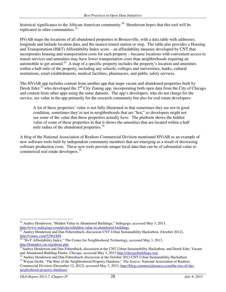historical significance to the African-American community.<sup>30</sup> Henderson hopes that this tool will be replicated in other communities.<sup>31</sup>

HViAB maps the locations of all abandoned properties in Bronzeville, with a data table with addresses, longitude and latitude location data, and the nearest transit station or stop. The table also provides a Housing and Transportation (H&T) Affordability Index score – an affordability measure developed by CNT that incorporates housing and transportation costs for each property – because locations with convenient access to transit services and amenities may have lower transportation costs than neighborhoods requiring an automobile to get around.<sup>32</sup> A map of a specific property includes the property's location and amenities within a half-mile of the property, including any schools, colleges and universities, banks, cultural institutions, retail establishments, medical facilities, pharmacies, and public safety services.

The HViAB app includes content from another app that maps vacant and abandoned properties built by Derek Eder,<sup>33</sup> who developed the  $2<sup>nd</sup>$  City Zoning app, incorporating both open data from the City of Chicago and content from other apps using the same datasets. The app's developers, who do not charge for the service, see value in the app primarily for the research community but also for real estate developers:

A lot of these properties' value is not fully illustrated in that sometimes they are not in good condition, sometimes they're not in neighborhoods that are "hot," so developers might not see some of the value that these properties actually have. The platform shows the hidden value of some of these properties in that it shows the amenities that are located within a half mile radius of the abandoned properties.<sup>34</sup>

A blog of the National Association of Realtors Commercial Division mentioned HViAB as an example of new software tools built by independent community members that are emerging as a result of decreasing software production costs. These new tools provide unique local data that can be of substantial value to commercial real estate developers.<sup>35</sup>

<sup>-</sup><sup>30</sup> Audrey Henderson, "Hidden Value in Abandoned Buildings," Indiegogo, accessed May 3, 2013, http://www.indiegogo.com/projects/hidden-value-in-abandoned-buildings.

<sup>&</sup>lt;sup>31</sup> Audrey Henderson and Dan Feherenbach, discussion CNT Urban Sustainability Hackathon, (October 2012), http://vimeo.com/52961889.

 $32$  "H+T Affordability Index," The Center for Neighborhood Technology, accessed May 3, 2013, http://htaindex.cnt.org/about.php.

<sup>&</sup>lt;sup>33</sup>Audrey Henderson and Dan Fehrenbach, discussion at the CNT Urban Sustainability Hackathon, and Derek Eder, Vacant and Abandoned Building Finder, Chicago, accessed May 3, 2013 http://chicagobuildings.org/.

<sup>&</sup>lt;sup>34</sup> Audrey Henderson and Dan Fehrenbach, discussion at the October 2012 CNT Urban Sustainability Hackathon.

<sup>35</sup> Wayne Grohl, "The Rise of the Neighborhood Property Database," *The Source*, National Association of Realtors Commercial Division (December 12, 2012), accessed May 3, 2013, http://blog.commercialsource.com/the-rise-of-theneigborhood-property-database/.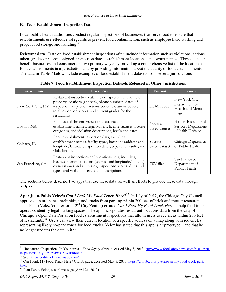#### **E. Food Establishment Inspection Data**

Local public health authorities conduct regular inspections of businesses that serve food to ensure that establishments use effective safeguards to prevent food contamination, such as employee hand washing and proper food storage and handling.<sup>36</sup>

**Relevant data.** Data on food establishment inspections often include information such as violations, actions taken, grades or scores assigned, inspection dates, establishment locations, and owner names. These data can benefit businesses and consumers in two primary ways: by providing a comprehensive list of the locations of food establishments in a jurisdiction and by providing information about the quality of food establishments. The data in Table 7 below include examples of food establishment datasets from several jurisdictions.

| <b>Jurisdiction</b> | Description                                                                                                                                                                                                                                       | Format                    | Source                                                                 |
|---------------------|---------------------------------------------------------------------------------------------------------------------------------------------------------------------------------------------------------------------------------------------------|---------------------------|------------------------------------------------------------------------|
| New York City, NY   | Restaurant inspection data, including restaurant names,<br>property locations (address), phone numbers, dates of<br>inspection, inspection actions codes, violations codes,<br>total inspection scores, and current grades for the<br>restaurants | <b>HTML</b> code          | New York City<br>Department of<br>Health and Mental<br>Hygiene         |
| Boston, MA          | Food establishment inspection data, including<br>establishment names, legal owners, license statuses, license<br>categories, and violation descriptions, levels and dates                                                                         | Socrata-<br>based dataset | <b>Boston Inspectional</b><br>Services Department<br>- Health Division |
| Chicago, IL         | Food establishment inspection data, including<br>establishment names, facility types, locations (address and<br>longitude/latitude), inspection dates, types and results, and<br>violations lists                                                 | Socrata-<br>based dataset | Chicago Department<br>of Public Health                                 |
| San Francisco, CA   | Restaurant inspections and violations data, including<br>business names, locations (address and longitude/latitude),<br>owner names and addresses, inspections scores, dates and<br>types, and violations levels and descriptions                 | CSV files                 | San Francisco<br>Department of<br>Public Health                        |

**Table 7. Food Establishment Inspection Datasets Released in Other Jurisdictions**

The sections below describe two apps that use these data, as well as efforts to provide these data through Yelp.com.

**App: Juan-Pablo Velez's** *Can I Park My Food Truck Here?***<sup>37</sup>** In July of 2012, the Chicago City Council approved an ordinance prohibiting food trucks from parking within 200 feet of brick and mortar restaurants. Juan-Pablo Velez (co-creator of 2nd City Zoning) created *Can I Park My Food Truck Here* to help food truck operators identify legal parking spaces. The app incorporates restaurant locations data from the City of Chicago's Open Data Portal on food establishment inspections that allows users to see areas within 200 feet of restaurants.<sup>38</sup> Users can view their current location or a specific address on a map along with red circles representing likely no-park zones for food trucks. Velez has stated that this app is a "prototype," and that he no longer updates the data in it.<sup>39</sup>

<sup>-</sup><sup>36</sup> "Restaurant Inspections In Your Area," *Food Safety News*, accessed May 3, 2013, http://www.foodsafetynews.com/restaurantinspections-in-your-area/#.UYWIEoI8zoh.

See http://food-truck.herokuapp.com/.

<sup>&</sup>lt;sup>38</sup> Can I Park My Food Truck Here? Github page, accessed May 3, 2013, https://github.com/jpvelez/can-my-food-truck-parkhere.

 $\frac{39}{39}$  Juan-Pablo Velez, e-mail message (April 24, 2013).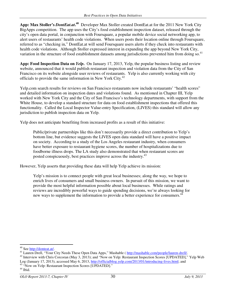**App: Max Stoller's** *DontEat.at***. <sup>40</sup>** Developer Max Stoller created DontEat.at for the 2011 New York City BigApps competition. The app uses the City's food establishment inspection dataset, released through the city's open data portal, in conjunction with Foursquare, a popular mobile device social networking app, to alert users of restaurants' health code violations. When users posts their location online through Foursquare, referred to as "checking in," DontEat.at will send Foursquare users alerts if they check into restaurants with health code violations. Although Stoller expressed interest in expanding the app beyond New York City, variation in the structure of food establishment datasets among jurisdictions prevented him from doing so.<sup>41</sup>

**App: Food Inspection Data on** *Yelp***.** On January 17, 2013, Yelp, the popular business listing and review website, announced that it would publish restaurant inspection and violation data from the City of San Francisco on its website alongside user reviews of restaurants. Yelp is also currently working with city officials to provide the same information in New York City.<sup>42</sup>

Yelp.com search results for reviews on San Francisco restaurants now include restaurants' "health scores" and detailed information on inspection dates and violations found. As mentioned in Chapter III, Yelp worked with New York City and the City of San Francisco's technology departments, with support from the White House, to develop a standard structure for data on food establishment inspections that offered this functionality. Called the Local Inspector Value-entry Specification, (LIVES) this standard will allow any jurisdiction to publish inspection data on Yelp.

Yelp does not anticipate benefiting from increased profits as a result of this initiative:

Public/private partnerships like this don't necessarily provide a direct contribution to Yelp's bottom line, but evidence suggests the LIVES open data standard will have a positive impact on society. According to a study of the Los Angeles restaurant industry, when consumers have better exposure to restaurant hygiene scores, the number of hospitalizations due to foodborne illness drops. The LA study also demonstrated that when restaurant scores are posted conspicuously, best practices improve across the industry.<sup>43</sup>

However, Yelp asserts that providing these data will help Yelp achieve its mission:

Yelp's mission is to connect people with great local businesses; along the way, we hope to enrich lives of consumers and small business owners. In pursuit of this mission, we want to provide the most helpful information possible about local businesses. While ratings and reviews are incredibly powerful ways to guide spending decisions, we're always looking for new ways to supplement the information to provide a better experience for consumers.<sup>44</sup>

<sup>-</sup><sup>40</sup> See http://donteat.at/.

<sup>&</sup>lt;sup>41</sup> Lauren Drell, "Your City Needs These Open Data Apps," Mashable ( http://mashable.com/people/lauren-drell/.

<sup>&</sup>lt;sup>42</sup> Interview with Chris Corcoran (May 3, 2013); and "Now on Yelp: Restaurant Inspection Scores [UPDATED]," Yelp Web Log (January 17, 2013), accessed May 6, 2013, http://officialblog.yelp.com/2013/01/introducing-lives.html; and <sup>43</sup> "Now on Yelp: Restaurant Inspection Scores [UPDATED]."

<sup>44</sup> Ibid.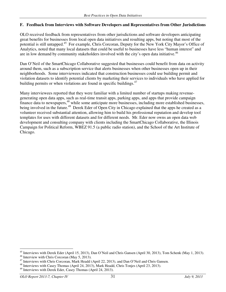#### **F. Feedback from Interviews with Software Developers and Representatives from Other Jurisdictions**

OLO received feedback from representatives from other jurisdictions and software developers anticipating great benefits for businesses from local open data initiatives and resulting apps, but noting that most of the potential is still untapped.<sup>45</sup> For example, Chris Corcoran, Deputy for the New York City Mayor's Office of Analytics, noted that many local datasets that could be useful to businesses have less "human interest" and are in low demand by community stakeholders involved with the city's open data initiative.<sup>46</sup>

Dan O'Neil of the SmartChicago Collaborative suggested that businesses could benefit from data on activity around them, such as a subscription service that alerts businesses when other businesses open up in their neighborhoods. Some interviewees indicated that construction businesses could use building permit and violation datasets to identify potential clients by marketing their services to individuals who have applied for building permits or when violations are found in specific buildings.<sup>47</sup>

Many interviewees reported that they were familiar with a limited number of startups making revenuegenerating open data apps, such as real-time transit apps, parking apps, and apps that provide campaign finance data to newspapers,<sup>48</sup> while some anticipate more businesses, including more established businesses, being involved in the future.<sup>49</sup> Derek Eder of Open City in Chicago explained that the apps he created as a volunteer received substantial attention, allowing him to build his professional reputation and develop tool templates for uses with different datasets and for different needs. Mr. Eder now owns an open data web development and consulting company with clients including the SmartChicago Collaborative, the Illinois Campaign for Political Reform, WBEZ 91.5 (a public radio station), and the School of the Art Institute of Chicago.

<sup>-</sup><sup>45</sup> Interviews with Derek Eder (April 15, 2013), Dan O'Neil and Chris Gansen (April 30, 2013), Tom Schenk (May 1, 2013).

<sup>&</sup>lt;sup>46</sup> Interview with Chris Corcoran (May 5, 2013).

<sup>&</sup>lt;sup>47</sup> Interviews with Chris Corcoran, Mark Headd (April 22, 2013), and Dan O'Neil and Chris Gansen.

<sup>48</sup> Interviews with Casey Thomas (April 24, 2013), Mark Headd, Chris Tonjes (April 23, 2013).

<sup>&</sup>lt;sup>49</sup> Interviews with Derek Eder, Casey Thomas (April 24, 2013).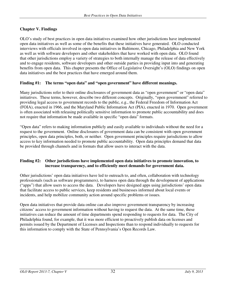## **Chapter V. Findings**

OLO's study of best practices in open data initiatives examined how other jurisdictions have implemented open data initiatives as well as some of the benefits that these initiatives have generated. OLO conducted interviews with officials involved in open data initiatives in Baltimore, Chicago, Philadelphia and New York as well as with software developers and other stakeholders that have worked with open data. OLO found that other jurisdictions employ a variety of strategies to both internally manage the release of data effectively and to engage residents, software developers and other outside parties in providing input into and generating benefits from open data. This chapter presents the Office of Legislative Oversight's (OLO) findings on open data initiatives and the best practices that have emerged around them.

#### **Finding #1: The terms "open data" and "open government" have different meanings.**

Many jurisdictions refer to their online disclosures of government data as "open government" or "open data" initiatives. These terms, however, describe two different concepts. Originally, "open government" referred to providing legal access to government records to the public, e.g., the Federal Freedom of Information Act (FOIA), enacted in 1966, and the Maryland Public Information Act (PIA), enacted in 1970. Open government is often associated with releasing politically sensitive information to promote public accountability and does not require that information be made available in specific "open data" formats.

"Open data" refers to making information publicly and easily available to individuals without the need for a request to the government. Online disclosures of government data can be consistent with open government principles, open data principles, both, or neither. Open government principles require jurisdictions to allow access to key information needed to promote public accountability. Open data principles demand that data be provided through channels and in formats that allow users to interact with the data.

#### **Finding #2: Other jurisdictions have implemented open data initiatives to promote innovation, to increase transparency, and to efficiently meet demands for government data.**

Other jurisdictions' open data initiatives have led to outreach to, and often, collaboration with technology professionals (such as software programmers), to harness open data through the development of applications ("apps") that allow users to access the data. Developers have designed apps using jurisdictions' open data that facilitate access to public services, keep residents and businesses informed about local events or incidents, and help mobilize community action around specific problems or issues.

Open data initiatives that provide data online can also improve government transparency by increasing citizens' access to government information without having to request the data. At the same time, these initiatives can reduce the amount of time departments spend responding to requests for data. The City of Philadelphia found, for example, that it was more efficient to proactively publish data on licenses and permits issued by the Department of Licenses and Inspections than to respond individually to requests for this information to comply with the State of Pennsylvania's Open Records Law.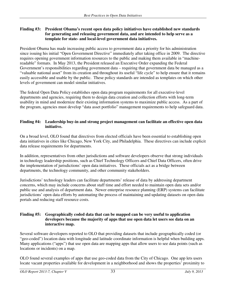#### **Finding #3: President Obama's recent open data policy initiatives have established new standards for generating and releasing government data, and are intended to help serve as a template for state- and local-level government data initiatives.**

President Obama has made increasing public access to government data a priority for his administration since issuing his initial "Open Government Directive" immediately after taking office in 2009. The directive requires opening government information resources to the public and making them available in "machinereadable" formats. In May 2013, the President released an Executive Order expanding the Federal Government's responsibilities regarding government data – requiring that government data be managed as a "valuable national asset" from its creation and throughout its useful "life cycle" to help ensure that it remains easily accessible and usable by the public. These policy standards are intended as templates on which other levels of government can model similar initiatives.

The federal Open Data Policy establishes open data program requirements for all executive-level departments and agencies, requiring them to design data creation and collection efforts with long-term usability in mind and modernize their existing information systems to maximize public access. As a part of the program, agencies must develop "data asset portfolio" management requirements to help safeguard data.

#### **Finding #4: Leadership buy-in and strong project management can facilitate an effective open data initiative.**

On a broad level, OLO found that directives from elected officials have been essential to establishing open data initiatives in cities like Chicago, New York City, and Philadelphia. These directives can include explicit data release requirements for departments.

In addition, representatives from other jurisdictions and software developers observe that strong individuals in technology leadership positions, such as Chief Technology Officers and Chief Data Officers, often drive the implementation of jurisdictions' open data initiatives. These officials act as a bridge between departments, the technology community, and other community stakeholders.

Jurisdictions' technology leaders can facilitate departments' release of data by addressing department concerns, which may include concerns about staff time and effort needed to maintain open data sets and/or public use and analysis of department data. Newer enterprise resource planning (ERP) systems can facilitate jurisdictions' open data efforts by automating the process of maintaining and updating datasets on open data portals and reducing staff resource costs.

#### **Finding #5: Geographically coded data that can be mapped can be very useful to application developers because the majority of apps that use open data let users see data on an interactive map.**

Several software developers reported to OLO that providing datasets that include geographically coded (or "geo-coded") location data with longitude and latitude coordinate information is helpful when building apps. Many applications ("apps") that use open data are mapping apps that allow users to see data points (such as locations or incidents) on a map.

OLO found several examples of apps that use geo-coded data from the City of Chicago. One app lets users locate vacant properties available for development in a neighborhood and shows the properties' proximity to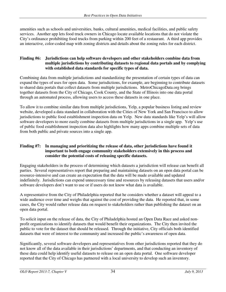amenities such as schools and universities, banks, cultural amenities, medical facilities, and public safety services. Another app lets food truck owners in Chicago locate available locations that do not violate the City's ordinance prohibiting food trucks from parking within 200 feet of a restaurant. A third app provides an interactive, color-coded map with zoning districts and details about the zoning rules for each district.

#### **Finding #6: Jurisdictions can help software developers and other stakeholders combine data from multiple jurisdictions by contributing datasets to regional data portals and by complying with established data standards for specific types of data.**

Combining data from multiple jurisdictions and standardizing the presentation of certain types of data can expand the types of uses for open data. Some jurisdictions, for example, are beginning to contribute datasets to shared data portals that collect datasets from multiple jurisdictions. MetroChicagoData.org brings together datasets from the City of Chicago, Cook County, and the State of Illinois into one data portal through an automated process, allowing users to access these datasets in one place.

To allow it to combine similar data from multiple jurisdictions, Yelp, a popular business listing and review website, developed a data standard in collaboration with the Cities of New York and San Francisco to allow jurisdictions to public food establishment inspection data on Yelp. New data standards like Yelp's will allow software developers to more easily combine datasets from multiple jurisdictions in a single app. Yelp's use of public food establishment inspection data also highlights how many apps combine multiple sets of data from both public and private sources into a single app.

#### **Finding #7: In managing and prioritizing the release of data, other jurisdictions have found it important to both engage community stakeholders extensively in this process and consider the potential costs of releasing specific datasets.**

Engaging stakeholders in the process of determining which datasets a jurisdiction will release can benefit all parties. Several representatives report that preparing and maintaining datasets on an open data portal can be resource-intensive and can create an expectation that the data will be made available and updated indefinitely. Jurisdictions can expend unnecessary time and resources by releasing datasets that users and/or software developers don't want to use or if users do not know what data is available.

A representative from the City of Philadelphia reported that he considers whether a dataset will appeal to a wide audience over time and weighs that against the cost of providing the data. He reported that, in some cases, the City would rather release data on request to stakeholders rather than publishing the dataset on an open data portal.

To solicit input on the release of data, the City of Philadelphia hosted an Open Data Race and asked nonprofit organizations to identify datasets that would benefit their organizations. The City then invited the public to vote for the dataset that should be released. Through the initiative, City officials both identified datasets that were of interest to the community and increased the public's awareness of open data.

Significantly, several software developers and representatives from other jurisdictions reported that they do not know all of the data available in their jurisdictions' departments, and that conducting an inventory of these data could help identify useful datasets to release on an open data portal. One software developer reported that the City of Chicago has partnered with a local university to develop such an inventory.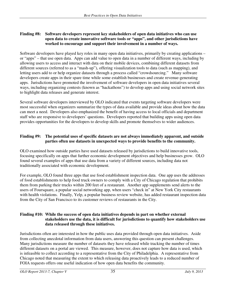#### **Finding #8: Software developers represent key stakeholders of open data initiatives who can use open data to create innovative software tools or "apps", and other jurisdictions have worked to encourage and support their involvement in a number of ways.**

Software developers have played key roles in many open data initiatives, primarily by creating applications – or "apps" – that use open data. Apps can add value to open data in a number of different ways, including by allowing users to access and interact with data on their mobile devices, combining different datasets from different sources (referred to as a "mash-up"), offering visualization tools to data (such as mapping), and letting users add to or help organize datasets through a process called "crowdsourcing." Many software developers create apps in their spare time while some establish businesses and create revenue-generating apps. Jurisdictions have promoted the involvement of software developers in open data initiatives several ways, including organizing contests (known as "hackathons") to develop apps and using social network sites to highlight data releases and generate interest.

Several software developers interviewed by OLO indicated that events targeting software developers were most successful when organizers summarize the types of data available and provide ideas about how the data can meet a need. Developers also emphasized the benefit of having access to local officials and department staff who are responsive to developers' questions. Developers reported that building apps using open data provides opportunities for the developers to develop skills and promote themselves to wider audiences.

### **Finding #9: The potential uses of specific datasets are not always immediately apparent, and outside parties often use datasets in unexpected ways to provide benefits to the community.**

OLO examined how outside parties have used datasets released by jurisdictions to build innovative tools, focusing specifically on apps that further economic development objectives and help businesses grow. OLO found several examples of apps that use data from a variety of different sources, including data not traditionally associated with economic development.

For example, OLO found three apps that use food establishment inspection data. One app uses the addresses of food establishments to help food truck owners to comply with a City of Chicago regulation that prohibits them from parking their trucks within 200 feet of a restaurant. Another app supplements send alerts to the users of Foursquare, a popular social networking app, when users "check in" at New York City restaurants with health violations. Finally, Yelp, a popular business review website, has added restaurant inspection data from the City of San Francisco to its customer reviews of restaurants in the City.

#### **Finding #10: While the success of open data initiatives depends in part on whether external stakeholders use the data, it is difficult for jurisdictions to quantify how stakeholders use data released through these initiatives.**

Jurisdictions often are interested in how the public uses data provided through open data initiatives. Aside from collecting anecdotal information from data users, answering this question can present challenges. Many jurisdictions measure the number of datasets they have released while tracking the number of times different datasets on a portal are viewed. This measure, however, does not capture how data is used, which is infeasible to collect according to a representative from the City of Philadelphia. A representative from Chicago noted that measuring the extent to which releasing data proactively leads to a reduced number of FOIA requests offers one useful indication of how open data benefits the community.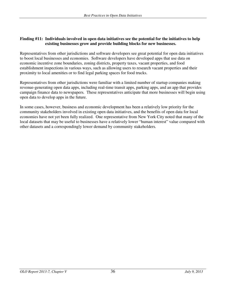#### **Finding #11: Individuals involved in open data initiatives see the potential for the initiatives to help existing businesses grow and provide building blocks for new businesses.**

Representatives from other jurisdictions and software developers see great potential for open data initiatives to boost local businesses and economies. Software developers have developed apps that use data on economic incentive zone boundaries, zoning districts, property taxes, vacant properties, and food establishment inspections in various ways, such as allowing users to research vacant properties and their proximity to local amenities or to find legal parking spaces for food trucks.

Representatives from other jurisdictions were familiar with a limited number of startup companies making revenue-generating open data apps, including real-time transit apps, parking apps, and an app that provides campaign finance data to newspapers. These representatives anticipate that more businesses will begin using open data to develop apps in the future.

In some cases, however, business and economic development has been a relatively low priority for the community stakeholders involved in existing open data initiatives, and the benefits of open data for local economies have not yet been fully realized. One representative from New York City noted that many of the local datasets that may be useful to businesses have a relatively lower "human interest" value compared with other datasets and a correspondingly lower demand by community stakeholders.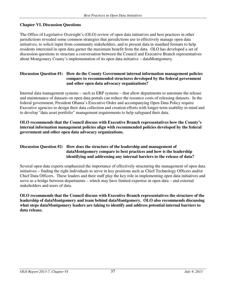#### **Chapter VI. Discussion Questions**

The Office of Legislative Oversight's (OLO) review of open data initiatives and best practices in other jurisdictions revealed some common strategies that jurisdictions use to effectively manage open data initiatives, to solicit input from community stakeholders, and to present data in standard formats to help residents interested in open data garner the maximum benefit from the data. OLO has developed a set of discussion questions to structure a conversation between the Council and Executive Branch representatives about Montgomery County's implementation of its open data initiative – dataMontgomery.

#### **Discussion Question #1: How do the County Government internal information management policies compare to recommended structures developed by the federal government and other open data advocacy organizations?**

Internal data management systems – such as ERP systems – that allow departments to automate the release and maintenance of datasets on open data portals can reduce the resource costs of releasing datasets. In the federal government, President Obama's Executive Order and accompanying Open Data Policy require Executive agencies to design their data collection and creation efforts with longer-term usability in mind and to develop "data asset portfolio" management requirements to help safeguard their data.

#### **OLO recommends that the Council discuss with Executive Branch representatives how the County's internal information management policies align with recommended policies developed by the federal government and other open data advocacy organizations.**

#### **Discussion Question #2: How does the structure of the leadership and management of dataMontgomery compare to best practices and how is the leadership identifying and addressing any internal barriers to the release of data?**

Several open data experts emphasized the importance of effectively structuring the management of open data initiatives – finding the right individuals to serve in key positions such as Chief Technology Officers and/or Chief Data Officers. These leaders and their staff play the key role in implementing open data initiatives and serve as a bridge between departments – which may have limited expertise in open data – and external stakeholders and users of data.

**OLO recommends that the Council discuss with Executive Branch representatives the structure of the leadership of dataMontgomery and team behind dataMontgomery. OLO also recommends discussing what steps dataMontgomery leaders are taking to identify and address potential internal barriers to data release.**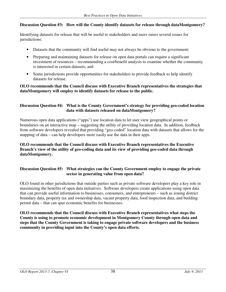#### **Discussion Question #3: How will the County identify datasets for release through dataMontgomery?**

Identifying datasets for release that will be useful to stakeholders and users raises several issues for jurisdictions:

- Datasets that the community will find useful may not always be obvious to the government;
- Preparing and maintaining datasets for release on open data portals can require a significant investment of resources – recommending a cost/benefit analysis to examine whether the community is interested in certain datasets; and
- Some jurisdictions provide opportunities for stakeholders to provide feedback to help identify datasets for release.

#### **OLO recommends that the Council discuss with Executive Branch representatives the strategies that dataMontgomery will employ to identify datasets for release to the public.**

#### **Discussion Question #4: What is the County Government's strategy for providing geo-coded location data with datasets released on dataMontgomery?**

Numerous open data applications ("apps") use location data to let user view geographical points or boundaries on an interactive map – suggesting the utility of providing location data. In addition, feedback from software developers revealed that providing "geo-coded" location data with datasets that allows for the mapping of data – can help developers more easily use the data in their apps.

#### **OLO recommends that the Council discuss with Executive Branch representatives the Executive Branch's view of the utility of geo-coding data and its view of providing geo-coded data through dataMontgomery.**

#### **Discussion Question #5: What strategies can the County Government employ to engage the private sector in generating value from open data?**

OLO found in other jurisdictions that outside parties such as private software developers play a key role in maximizing the benefits of open data initiatives. Software developers create applications using open data that can provide useful information to businesses, consumers, and entrepreneurs – such as zoning district boundary data, property tax and ownership data, vacant property data, food inspection data, and building permit data – that can spur economic benefits for businesses.

**OLO recommends that the Council discuss with Executive Branch representatives what steps the County is using to promote economic development in Montgomery County through open data and steps that the County Government is taking to engage private software developers and the business community in providing input into the County's open data efforts.**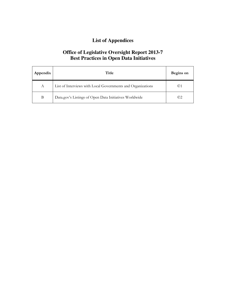# **List of Appendices**

## **Office of Legislative Oversight Report 2013-7 Best Practices in Open Data Initiatives**

| Appendix | Title                                                       | Begins on    |
|----------|-------------------------------------------------------------|--------------|
| A        | List of Interviews with Local Governments and Organizations | $\odot$ 1    |
| В        | Data.gov's Listings of Open Data Initiatives Worldwide      | $_{\odot 2}$ |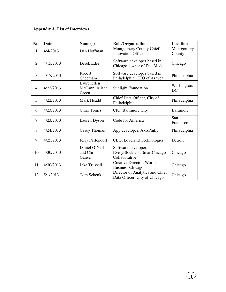# **Appendix A. List of Interviews**

| No.            | <b>Date</b> | Name(s)                                | <b>Role/Organization</b>                                                   | <b>Location</b>      |
|----------------|-------------|----------------------------------------|----------------------------------------------------------------------------|----------------------|
| 1              | 4/4/2013    | Dan Hoffman                            | Montgomery County Chief<br><b>Innovation Officer</b>                       | Montgomery<br>County |
| $\overline{2}$ | 4/15/2013   | Derek Eder                             | Software developer based in<br>Chicago, owner of DataMade                  | Chicago              |
| $\overline{3}$ | 4/17/2013   | Robert<br>Cheetham                     | Software developer based in<br>Philadelphia, CEO of Azavea                 | Philadelphia         |
| $\overline{4}$ | 4/22/2013   | Laurenellen<br>McCann, Alisha<br>Green | <b>Sunlight Foundation</b>                                                 | Washington,<br>DC    |
| 5              | 4/22/2013   | Mark Headd                             | Chief Data Officer, City of<br>Philadelphia                                | Philadelphia         |
| 6              | 4/23/2013   | Chris Tonjes                           | CIO, Baltimore City                                                        | <b>Baltimore</b>     |
| $\overline{7}$ | 4/23/2013   | Lauren Dyson                           | Code for America                                                           | San<br>Francisco     |
| 8              | 4/24/2013   | Casey Thomas                           | App developer, AxisPhilly                                                  | Philadelphia         |
| 9              | 4/25/2013   | Jerry Paffendorf                       | CEO, Loveland Technologies                                                 | Detroit              |
| 10             | 4/30/2013   | Daniel O'Neil<br>and Chris<br>Gansen   | Software developer,<br><b>EveryBlock and SmartChicago</b><br>Collaborative | Chicago              |
| 11             | 4/30/2013   | <b>Jake Trussell</b>                   | Creative Director, World<br><b>Business Chicago</b>                        | Chicago              |
| 12             | 5/1/2013    | Tom Schenk                             | Director of Analytics and Chief<br>Data Officer, City of Chicago           | Chicago              |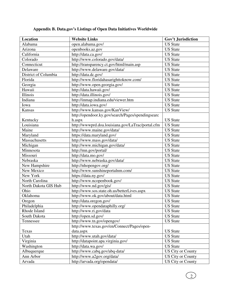| Location             | <b>Website Links</b>                              | Gov't Jurisdiction       |
|----------------------|---------------------------------------------------|--------------------------|
| Alabama              | open.alabama.gov/                                 | <b>US</b> State          |
| Arizona              | openbooks.az.gov                                  | <b>US</b> State          |
| California           | http://data.ca.gov/                               | <b>US State</b>          |
| Colorado             | http://www.colorado.gov/data/                     | <b>US State</b>          |
| Connecticut          | http://transparency.ct.gov/html/main.asp          | <b>US</b> State          |
| Delaware             | http://www.delaware.gov/data/                     | <b>US</b> State          |
| District of Columbia | http://data.dc.gov/                               | <b>US State</b>          |
| Florida              | http://www.floridahasarighttoknow.com/            | <b>US</b> State          |
| Georgia              | http://www.open.georgia.gov/                      | <b>US</b> State          |
| Hawaii               | http://data.hawaii.gov/                           | <b>US</b> State          |
| Illinois             | http://data.illinois.gov/                         | <b>US State</b>          |
| Indiana              | http://inmap.indiana.edu/viewer.htm               | <b>US</b> State          |
| Iowa                 | http://data.iowa.gov/                             | <b>US</b> State          |
| Kansas               | http://www.kansas.gov/KanView/                    | <b>US State</b>          |
|                      | http://opendoor.ky.gov/search/Pages/spendingsearc |                          |
| Kentucky             | h.aspx                                            | <b>US</b> State          |
| Louisiana            | http://wwwprd.doa.louisiana.gov/LaTrac/portal.cfm | <b>US</b> State          |
| Maine                | http://www.maine.gov/data/                        | <b>US State</b>          |
| Maryland             | https://data.maryland.gov/                        | <b>US</b> State          |
| Massachusetts        | http://www.mass.gov/data/                         | <b>US</b> State          |
| Michigan             | http://www.michigan.gov/data/                     | <b>US State</b>          |
| Minnesota            | http://mn.gov/portal/                             | <b>US</b> State          |
| Missouri             | http://data.mo.gov/                               | <b>US</b> State          |
| Nebraska             | http://www.nebraska.gov/data/                     | <b>US State</b>          |
| New Hampshire        | http://nhopengov.org/                             | <b>US</b> State          |
| New Mexico           | http://www.sunshineportalnm.com/                  | <b>US</b> State          |
| New York             | https://data.ny.gov/                              | <b>US State</b>          |
| North Carolina       | http://www.ncopenbook.gov/                        | <b>US</b> State          |
| North Dakota GIS Hub | http://www.nd.gov/gis/                            | <b>US</b> State          |
| Ohio                 | http://www.sos.state.oh.us/betterLives.aspx       | <b>US</b> State          |
| Oklahoma             | http://www.ok.gov/about/data.html                 | <b>US</b> State          |
| Oregon               | http://data.oregon.gov/                           | <b>US State</b>          |
| Philadelphia         | http://www.opendataphilly.org/                    | <b>US</b> State          |
| Rhode Island         | http://www.ri.gov/data                            | <b>US</b> State          |
| South Dakota         | http://open.sd.gov/                               | <b>US State</b>          |
| Tennessee            | http://www.tn.gov/opengov/                        | <b>US</b> State          |
|                      | http://www.texas.gov/en/Connect/Pages/open-       |                          |
| Texas                | data.aspx                                         | <b>US</b> State          |
| Utah                 | http://www.utah.gov/data/                         | <b>US</b> State          |
| Virginia             | http://datapoint.apa.virginia.gov/                | <b>US</b> State          |
| Washington           | http://data.wa.gov/                               | <b>US</b> State          |
| Albuquerque          | http://www.cabq.gov/abq-data/                     | <b>US City or County</b> |
| Ann Arbor            | http://www.a2gov.org/data/                        | <b>US City or County</b> |
| Arvada               | http://arvada.org/opendata/                       | <b>US City or County</b> |

## **Appendix B. Data.gov's Listings of Open Data Initiatives Worldwide**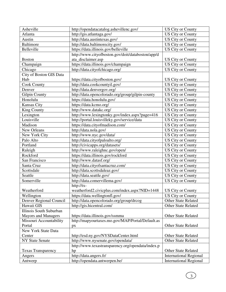| Asheville                  | http://opendatacatalog.ashevillenc.gov/           | <b>US City or County</b>      |
|----------------------------|---------------------------------------------------|-------------------------------|
| Atlanta                    | http://gis.atlantaga.gov/                         | <b>US City or County</b>      |
| Austin                     | http://data.austintexas.gov/                      | <b>US City or County</b>      |
| <b>Baltimore</b>           | http://data.baltimorecity.gov/                    | <b>US City or County</b>      |
| Belleville                 | https://data.illinois.gov/belleville              | <b>US City or County</b>      |
|                            | http://www.cityofboston.gov/doit/databoston/app/d |                               |
| <b>Boston</b>              | ata_disclaimer.asp                                | US City or County             |
| Champaign                  | https://data.illinois.gov/champaign               | <b>US City or County</b>      |
| Chicago                    | http://data.cityofchicago.org/                    | US City or County             |
| City of Boston GIS Data    |                                                   |                               |
| Hub                        | https://data.cityofboston.gov/                    | US City or County             |
| <b>Cook County</b>         | http://data.cookcountyil.gov/                     | <b>US City or County</b>      |
| Denver                     | http://data.denvergov.org/                        | <b>US City or County</b>      |
| <b>Gilpin County</b>       | http://data.opencolorado.org/group/gilpin-county  | <b>US City or County</b>      |
| Honolulu                   | https://data.honolulu.gov/                        | <b>US City or County</b>      |
| Kansas City                | https://data.kcmo.org/                            | US City or County             |
| <b>King County</b>         | http://www.datakc.org/                            | <b>US City or County</b>      |
| Lexington                  | http://www.lexingtonky.gov/index.aspx?page=416    | <b>US City or County</b>      |
| Louisville                 | http://portal.louisvilleky.gov/service/data       | <b>US City or County</b>      |
| Madison                    | https://data.cityofmadison.com/                   | <b>US City or County</b>      |
| New Orleans                | http://data.nola.gov/                             | <b>US City or County</b>      |
| New York City              | http://www.nyc.gov/data/                          | US City or County             |
| Palo Alto                  | http://data.cityofpaloalto.org/                   | <b>US City or County</b>      |
| Portland                   | http://civicapps.org/datasets/                    | <b>US City or County</b>      |
| Raleigh                    | http://www.raleighnc.gov/open/                    | US City or County             |
| Rockford                   | https://data.illinois.gov/rockford                | <b>US City or County</b>      |
| San Francisco              | http://www.datasf.org/                            | US City or County             |
| Santa Cruz                 | http://data.cityofsantacruz.com/                  | <b>US City or County</b>      |
| Scottsdale                 | http://data.scottsdaleaz.gov/                     | <b>US City or County</b>      |
| Seattle                    | http://data.seattle.gov/                          | <b>US City or County</b>      |
| Somerville                 | http://data.comervillema.gov/                     | US City or County             |
|                            | http://tx-                                        |                               |
| Weatherford                | weatherford2.civicplus.com/index.aspx?NID=1448    | <b>US City or County</b>      |
| Wellington                 | https://data.wellingtonfl.gov/                    | <b>US City or County</b>      |
| Denver Regional Council    | http://data.opencolorado.org/group/drcog          | <b>Other State Related</b>    |
| Hawaii GIS                 | http://gis.hicentral.com/                         | <b>Other State Related</b>    |
| Illinois South Suburban    |                                                   |                               |
| <b>Mayors and Managers</b> | https://data.illinois.gov/ssmma                   | <b>Other State Related</b>    |
| Missouri Accountability    | http://mapyourtaxes.mo.gov/MAP/Portal/Default.as  |                               |
| Portal                     | px                                                | <b>Other State Related</b>    |
| New York State Data        |                                                   |                               |
| Center                     | http://esd.ny.gov/NYSDataCenter.html              | <b>Other State Related</b>    |
| <b>NY State Senate</b>     | http://www.nysenate.gov/opendata/                 | Other State Related           |
|                            | http://www.texastransparency.org/opendata/index.p |                               |
| <b>Texas Transparency</b>  | hp                                                | <b>Other State Related</b>    |
| Angers                     | http://data.angers.fr/                            | <b>International Regional</b> |
| Antwerp                    | http://opendata.antwerpen.be/                     | <b>International Regional</b> |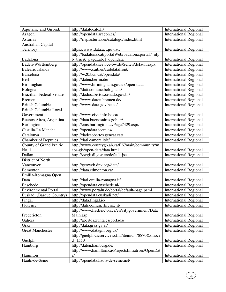| Aquitaine and Gironde         | http://datalocale.fr/                              | <b>International Regional</b> |
|-------------------------------|----------------------------------------------------|-------------------------------|
| Aragon                        | http://opendata.aragon.es/                         | <b>International Regional</b> |
| <b>Asturias</b>               | http://risp.asturias.es/catalogo/index.html        | <b>International Regional</b> |
| <b>Australian Capital</b>     |                                                    |                               |
| Territory                     | https://www.data.act.gov.au/                       | <b>International Regional</b> |
|                               | http://badalona.cat/portalWeb/badalona.portal?_nfp |                               |
| Badalona                      | b=true&_pageLabel=opendata                         | <b>International Regional</b> |
| Baden-Württemberg             | http://opendata.service-bw.de/Seiten/default.aspx  | <b>International Regional</b> |
| <b>Balearic Islands</b>       | http://www.caib.es/caibdatafront/                  | <b>International Regional</b> |
| <b>Barcelona</b>              | http://w20.bcn.cat/opendata/                       | <b>International Regional</b> |
| Berlin                        | http://daten.berlin.de/                            | <b>International Regional</b> |
| Birmingham                    | http://www.birmingham.gov.uk/open-data             | <b>International Regional</b> |
| Bologna                       | http://dati.comune.bologna.it/                     | <b>International Regional</b> |
| Brazilian Federal Senate      | http://dadosabertos.senado.gov.br/                 | <b>International Regional</b> |
| <b>Bremen</b>                 | http://www.daten.bremen.de/                        | <b>International Regional</b> |
| <b>British Columbia</b>       | http://www.data.gov.bc.ca/                         | <b>International Regional</b> |
| <b>British Columbia Local</b> |                                                    |                               |
| Government                    | http://www.civicinfo.bc.ca/                        | <b>International Regional</b> |
| Buenos Aires, Argentina       | http://data.buenosaires.gob.ar/                    | <b>International Regional</b> |
| Burlington                    | http://cms.burlington.ca/Page7429.aspx             | <b>International Regional</b> |
| Castilla-La Mancha            | http://opendata.jccm.es/                           | <b>International Regional</b> |
| Catalonya                     | http://dadesobertes.gencat.cat/                    | <b>International Regional</b> |
| Chamber of Deputies           | http://dati.camera.it/it/                          | <b>International Regional</b> |
| County of Grand Prairie       | http://www.countygp.ab.ca/EN/main/community/m      |                               |
| No. 1                         | aps-gis/open-data/data.html                        | <b>International Regional</b> |
| Dailan                        | http://zwgk.dl.gov.cn/default.jse                  | <b>International Regional</b> |
| District of North             |                                                    |                               |
| Vancouver                     | http://geoweb.dnv.org/data/                        | <b>International Regional</b> |
| Edmonton                      | http://data.edmonton.ca/                           | <b>International Regional</b> |
| Emilia-Romagna Open           |                                                    |                               |
| Data                          | http://dati.emilia-romagna.it/                     | <b>International Regional</b> |
| Enschede                      | http://opendata.enschede.nl/                       | <b>International Regional</b> |
| <b>Environmental Portal</b>   | http://www.portalu.de/portal/default-page.psml     | <b>International Regional</b> |
| Euskadi (Basque Country)      | http://opendata.euskadi.net/                       | <b>International Regional</b> |
| Fingal                        | http://data.fingal.ie/                             | <b>International Regional</b> |
| Florence                      | http://dati.comune.firenze.it/                     | <b>International Regional</b> |
|                               | http://www.fredericton.ca/en/citygovernment/Data   |                               |
| Fredericton                   | Main.asp                                           | <b>International Regional</b> |
| Galicia                       | http://abertos.xunta.es/portada/                   | <b>International Regional</b> |
| Graz                          | http://data.graz.gv.at/                            | <b>International Regional</b> |
| <b>Great Manchester</b>       | http://www.datagm.org.uk/                          | <b>International Regional</b> |
|                               | http://guelph.ca/services.cfm?itemid=78870&smoci   |                               |
| Guelph                        | $d = 1550$                                         | <b>International Regional</b> |
| Hamburg                       | http://daten.hamburg.de/                           | <b>International Regional</b> |
|                               | http://www.hamilton.ca/ProjectsInitiatives/OpenDat |                               |
| Hamilton                      | $a$ /                                              | <b>International Regional</b> |
| Hauts-de-Seine                | http://opendata.hauts-de-seine.net/                | <b>International Regional</b> |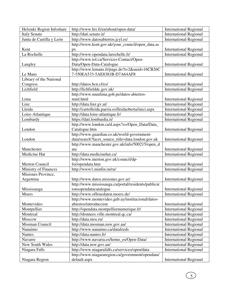| Helsinki Region Infoshare | http://www.hri.fi/en/about/open-data/                | <b>International Regional</b> |
|---------------------------|------------------------------------------------------|-------------------------------|
| <b>Italy Senate</b>       | http://dati.senato.it/                               | <b>International Regional</b> |
| Junta de Castilla y León  | http://www.datosabiertos.jcyl.es/                    | <b>International Regional</b> |
|                           | http://www.kent.gov.uk/your_council/open_data.as     |                               |
| Kent                      | px                                                   | <b>International Regional</b> |
| La Rochelle               | http://www.opendata.larochelle.fr/                   | <b>International Regional</b> |
|                           | http://www.tol.ca/Services-Contact/Open-             |                               |
| Langley                   | Data/Open-Data-Catalogue                             | <b>International Regional</b> |
|                           | http://www.lemans.fr/page.do?t=2&uuid=16CB26C        |                               |
| Le Mans                   | 7-550EA533-5AE8381B-D7A64AF8                         | <b>International Regional</b> |
| Library of the National   |                                                      |                               |
| Congress                  | http://datos.bcn.cl/es/                              | <b>International Regional</b> |
| Lichfield                 | http://lichfielddc.gov.uk/                           | <b>International Regional</b> |
|                           | http://www.munlima.gob.pe/datos-abiertos-            |                               |
| Lima                      | mml.html                                             | <b>International Regional</b> |
| Linz                      | http://data.linz.gv.at/                              | <b>International Regional</b> |
| Lleida                    | http://cartolleida.paeria.es/lleidaoberta/inici.aspx | <b>International Regional</b> |
| Loire-Atlantique          | http://data.loire-atlantique.fr/                     | <b>International Regional</b> |
| Lombardy                  | https://dati.lombardia.it/                           | <b>International Regional</b> |
|                           | http://www.london.ca/d.aspx?s=/Open_Data/Data_       |                               |
| London                    | Catalogue.htm                                        | <b>International Regional</b> |
|                           | http://www.guardian.co.uk/world-government-          |                               |
| London                    | data/search?facet_source_title=data.london.gov.uk    | <b>International Regional</b> |
|                           | http://www.manchester.gov.uk/info/500215/open_d      |                               |
| Manchester                | ata                                                  | <b>International Regional</b> |
| Medicine Hat              | http://data.medicinehat.ca/                          | <b>International Regional</b> |
|                           | http://www.merton.gov.uk/council/dp-                 |                               |
| Merton Council            | foi/opendata.htm                                     | <b>International Regional</b> |
| Ministry of Finances      | http://www1.minfin.ru/ru/                            | <b>International Regional</b> |
| Misiones Province,        |                                                      |                               |
| Argentina                 | http://www.datos.misiones.gov.ar/                    | <b>International Regional</b> |
|                           | http://www.mississauga.ca/portal/residents/publicat  |                               |
| Mississauga               | ionsopendatacatalogue                                | <b>International Regional</b> |
| Moers                     | http://www.offenedaten.moers.de/                     | <b>International Regional</b> |
|                           | http://www.montevideo.gub.uy/institucional/datos-    |                               |
| Montevideo                | abiertos/introduccion                                | <b>International Regional</b> |
| Montpellier               | http://opendata.montpelliernumerique.fr/             | <b>International Regional</b> |
| Montreal                  | http://donnees.ville.montreal.qc.ca/                 | <b>International Regional</b> |
| Moscow                    | http://data.mos.ru/                                  | <b>International Regional</b> |
| Mosman Council            | http://data.mosman.nsw.gov.au/                       | <b>International Regional</b> |
| Nanaimo                   | http://www.nanaimo.ca/datafeeds                      | <b>International Regional</b> |
| <b>Nantes</b>             | http://data.nantes.fr/                               | <b>International Regional</b> |
| Navarre                   | http://www.navarra.es/home_es/Open-Data/             | <b>International Regional</b> |
| New South Wales           | http://data.nsw.gov.au/                              | <b>International Regional</b> |
| Niagara Falls             | http://www.niagarafalls.ca/services/open/data        | <b>International Regional</b> |
|                           | http://www.niagararegion.ca/government/opendata/     |                               |
| Niagara Region            | default.aspx                                         | <b>International Regional</b> |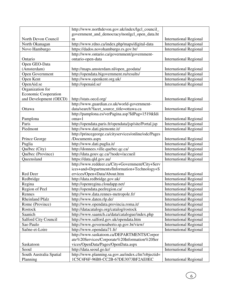|                             | http://www.northdevon.gov.uk/index/lgcl_council_      |                               |
|-----------------------------|-------------------------------------------------------|-------------------------------|
|                             | government_and_democracy/nonlgcl_open_data.ht         |                               |
| North Devon Council         | m                                                     | <b>International Regional</b> |
| North Okanagan              | http://www.rdno.ca/index.php/maps/digital-data        | <b>International Regional</b> |
| Novo Hamburgo               | https://dados.novohamburgo.rs.gov.br/                 | <b>International Regional</b> |
|                             | http://www.ontario.ca/government/government-          |                               |
| Ontario                     | ontario-open-data                                     | <b>International Regional</b> |
| Open GEO-Data               |                                                       |                               |
| (Amsterdam)                 | http://maps.amsterdam.nl/open_geodata/                | <b>International Regional</b> |
| Open Government             | http://opendata.bigovernment.ru/results/              | <b>International Regional</b> |
| Open Kent                   | http://www.openkent.org.uk/                           | <b>International Regional</b> |
| OpenAid.se                  | http://openaid.se/                                    | <b>International Regional</b> |
| Organization for            |                                                       |                               |
| <b>Economic Cooperation</b> |                                                       |                               |
| and Development (OECD)      | http://stats.oecd.org/                                | <b>International Regional</b> |
|                             | http://www.guardian.co.uk/world-government-           |                               |
| Ottawa                      | data/search?facet_source_title=ottawa.ca              | <b>International Regional</b> |
|                             | http://pamplona.es/verPagina.asp?IdPag=1519&Idi       |                               |
| Pamplona                    | $oma=1$                                               | <b>International Regional</b> |
| Paris                       | http://opendata.paris.fr/opendata/jsp/site/Portal.jsp | <b>International Regional</b> |
| Piedmont                    | http://www.dati.piemonte.it/                          | <b>International Regional</b> |
|                             | http://princegeorge.ca/cityservices/online/odc/Pages  |                               |
| Prince George               | /Documents.aspx                                       | <b>International Regional</b> |
| Puglia                      | http://www.dati.puglia.it/                            | <b>International Regional</b> |
| Québec (City)               | http://donnees.ville.quebec.qc.ca/                    | <b>International Regional</b> |
| Québec (Province)           | http://data.gouv.qc.ca/?node=/accueil                 | <b>International Regional</b> |
| Queensland                  | https://data.qld.gov.au/                              | <b>International Regional</b> |
|                             | http://www.reddeer.ca/City+Government/City+Serv       |                               |
|                             | ices+and+Departments/Information+Technology+S         |                               |
| Red Deer                    | ervices/Open+Data/About.htm                           | <b>International Regional</b> |
| Redbridge                   | http://data.redbridge.gov.uk/                         | <b>International Regional</b> |
| Regina                      | http://openregina.cloudapp.net/                       | <b>International Regional</b> |
| Region of Peel              | http://opendata.peelregion.ca/                        | <b>International Regional</b> |
| Rennes                      | http://www.data.rennes-metropole.fr/                  | <b>International Regional</b> |
| <b>Rheinland Pfalz</b>      | http://www.daten.rlp.de/                              | <b>International Regional</b> |
| Rome (Province)             | http://www.opendata.provincia.roma.it/                | <b>International Regional</b> |
| Rostock                     | http://datacatalogs.org/catalog/rostock               | <b>International Regional</b> |
| Saanich                     | http://www.saanich.ca/data/catalogue/index.php        | <b>International Regional</b> |
| Salford City Council        | http://www.salford.gov.uk/opendata.htm                | <b>International Regional</b> |
| Sao Paulo                   | http://www.governoaberto.sp.gov.br/view/              | <b>International Regional</b> |
| Saône-et-Loire              | http://www.opendata71.fr/                             | <b>International Regional</b> |
|                             | http://www.saskatoon.ca/DEPARTMENTS/Corpor            |                               |
|                             | ate%20Services/Corporate%20Information%20Ser          |                               |
| Saskatoon                   | vices/OpenData/Pages/OpenData.aspx                    | <b>International Regional</b> |
| Seoul                       | http://data.seoul.go.kr/                              | <b>International Regional</b> |
| South Australia Spatial     | http://www.planning.sa.gov.au/index.cfm?objectid=     |                               |
| Planning                    | 1C5C4F6F-96B8-CC2B-67DE3073BF2AE0EC                   | <b>International Regional</b> |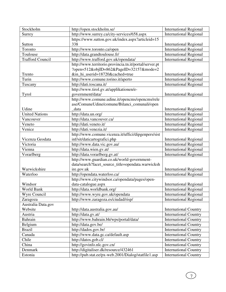| Stockholm               | http://open.stockholm.se/                              | <b>International Regional</b> |
|-------------------------|--------------------------------------------------------|-------------------------------|
| Surrey                  | http://www.surrey.ca/city-services/658.aspx            | <b>International Regional</b> |
|                         | https://www.sutton.gov.uk/index.aspx?articleid=15      |                               |
| Sutton                  | 338                                                    | <b>International Regional</b> |
| Toronto                 | http://www.toronto.ca/open                             | <b>International Regional</b> |
| Toulouse                | http://data.grandtoulouse.fr/                          | <b>International Regional</b> |
| <b>Trafford Council</b> | http://www.trafford.gov.uk/opendata/                   | <b>International Regional</b> |
|                         | http://www.territorio.provincia.tn.it/portal/server.pt |                               |
|                         | ?open=512&objID=862&PageID=32157&mode=2                |                               |
| Trento                  | ∈_hi_userid=18720&cached=true                          | <b>International Regional</b> |
| Turin                   | http://www.comune.torino.it/aperto                     | <b>International Regional</b> |
| Tuscany                 | http://dati.toscana.it/                                | <b>International Regional</b> |
|                         | http://www.tirol.gv.at/applikationen/e-                |                               |
| <b>Tyrol</b>            | government/data/                                       | <b>International Regional</b> |
|                         | http://www.comune.udine.it/opencms/opencms/rele        |                               |
|                         | ase/ComuneUdine/comune/Bilanci_comunali/open           |                               |
| Udine                   | data                                                   | <b>International Regional</b> |
| <b>United Nations</b>   | http://data.un.org/                                    | <b>International Regional</b> |
| Vancouver               | http://data.vancouver.ca/                              | <b>International Regional</b> |
| Veneto                  | http://dati.veneto.it/                                 | <b>International Regional</b> |
| Venice                  | http://dati.venezia.it/                                | <b>International Regional</b> |
|                         | http://www.comune.vicenza.it/uffici/dipgenpers/sist    |                               |
| Vicenza Geodata         | inf/sit/daticartografici.php                           | <b>International Regional</b> |
| Victoria                | http://www.data.vic.gov.au/                            | <b>International Regional</b> |
| Vienna                  | http://data.wien.gv.at/                                | <b>International Regional</b> |
| Vorarlberg              | http://data.vorarlberg.gv.at/                          | <b>International Regional</b> |
|                         | http://www.guardian.co.uk/world-government-            |                               |
|                         | data/search?facet_source_title=opendata.warwicksh      |                               |
| Warwickshire            | ire.gov.uk                                             | <b>International Regional</b> |
| Waterloo                | http://opendata.waterloo.ca/                           | <b>International Regional</b> |
|                         | http://www.citywindsor.ca/opendata/pages/open-         |                               |
| Windsor                 | data-catalogue.aspx                                    | <b>International Regional</b> |
| World Bank              | http://data.worldbank.org/                             | <b>International Regional</b> |
| Wyre Council            | http://www.wyre.gov.uk/opendata                        | <b>International Regional</b> |
| Zaragoza                | http://www.zaragoza.es/ciudad/risp/                    | <b>International Regional</b> |
| Australia Data.gov      |                                                        |                               |
| Website                 | http://data.australia.gov.au/                          | <b>International Country</b>  |
| Austria                 | http://data.gv.at/                                     | <b>International Country</b>  |
| Bahrain                 | http://www.bahrain.bh/wps/portal/data/                 | <b>International Country</b>  |
| Belgium                 | http://data.gov.be/                                    | <b>International Country</b>  |
| <b>Brazil</b>           | http://dados.gov.br/                                   | <b>International Country</b>  |
| Canada                  | http://www.data.gc.ca/default.asp                      | <b>International Country</b>  |
| Chile                   | http://datos.gob.cl/                                   | <b>International Country</b>  |
| China                   | http://govinfo.nlc.gov.cn/                             | <b>International Country</b>  |
| Denmark                 | http://digitaliser.dk/resource/432461                  | <b>International Country</b>  |
| Estonia                 | http://pub.stat.ee/px-web.2001/Dialog/statfile1.asp    | <b>International Country</b>  |